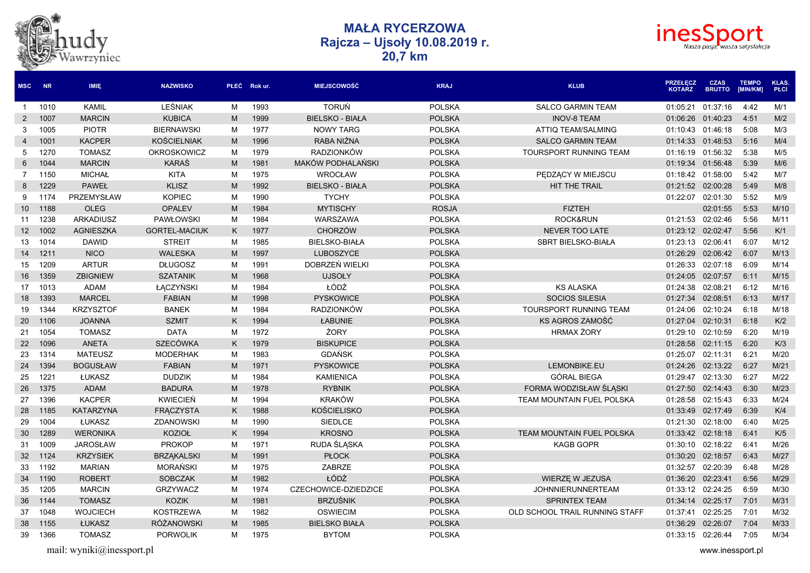



| <b>MSC</b>      | <b>NR</b> | IMIE,            | <b>NAZWISKO</b>      |   | PŁEĆ Rokur. | <b>MIEJSCOWOŚĆ</b>       | <b>KRAJ</b>   | <b>KLUB</b>                      | <b>PRZEŁECZ</b><br><b>KOTARZ</b> | <b>CZAS</b><br><b>BRUTTO</b> | <b>TEMPO</b><br>[MIN/KM] | KLAS.<br><b>PŁCI</b> |
|-----------------|-----------|------------------|----------------------|---|-------------|--------------------------|---------------|----------------------------------|----------------------------------|------------------------------|--------------------------|----------------------|
| $\mathbf{1}$    | 1010      | <b>KAMIL</b>     | LEŚNIAK              | M | 1993        | <b>TORUŃ</b>             | <b>POLSKA</b> | <b>SALCO GARMIN TEAM</b>         | 01:05:21                         | 01:37:16                     | 4:42                     | M/1                  |
| $\overline{2}$  | 1007      | <b>MARCIN</b>    | <b>KUBICA</b>        | M | 1999        | <b>BIELSKO - BIAŁA</b>   | <b>POLSKA</b> | <b>INOV-8 TEAM</b>               | 01:06:26                         | 01:40:23                     | 4:51                     | M/2                  |
| 3               | 1005      | <b>PIOTR</b>     | <b>BIERNAWSKI</b>    | M | 1977        | <b>NOWY TARG</b>         | <b>POLSKA</b> | ATTIQ TEAM/SALMING               | 01:10:43                         | 01:46:18                     | 5:08                     | M/3                  |
| $\overline{4}$  | 1001      | <b>KACPER</b>    | <b>KOŚCIELNIAK</b>   | M | 1996        | RABA NIŻNA               | <b>POLSKA</b> | <b>SALCO GARMIN TEAM</b>         | 01:14:33                         | 01:48:53                     | 5:16                     | M/4                  |
| 5               | 1270      | <b>TOMASZ</b>    | <b>OKROSKOWICZ</b>   | M | 1979        | <b>RADZIONKÓW</b>        | <b>POLSKA</b> | <b>TOURSPORT RUNNING TEAM</b>    | 01:16:19                         | 01:56:32                     | 5:38                     | M/5                  |
| 6               | 1044      | <b>MARCIN</b>    | <b>KARAŚ</b>         | M | 1981        | <b>MAKÓW PODHALAŃSKI</b> | <b>POLSKA</b> |                                  | 01:19:34                         | 01:56:48                     | 5:39                     | M/6                  |
| $\overline{7}$  | 1150      | <b>MICHAŁ</b>    | <b>KITA</b>          | M | 1975        | <b>WROCŁAW</b>           | <b>POLSKA</b> | PEDZĄCY W MIEJSCU                | 01:18:42 01:58:00                |                              | 5:42                     | M/7                  |
| 8               | 1229      | <b>PAWEŁ</b>     | <b>KLISZ</b>         | M | 1992        | <b>BIELSKO - BIAŁA</b>   | <b>POLSKA</b> | <b>HIT THE TRAIL</b>             | 01:21:52                         | 02:00:28                     | 5:49                     | M/8                  |
| 9               | 1174      | PRZEMYSŁAW       | <b>KOPIEC</b>        | M | 1990        | <b>TYCHY</b>             | <b>POLSKA</b> |                                  | 01:22:07                         | 02:01:30                     | 5:52                     | M/9                  |
| 10 <sup>°</sup> | 1188      | <b>OLEG</b>      | <b>OPALEV</b>        | M | 1984        | <b>MYTISCHY</b>          | <b>ROSJA</b>  | <b>FIZTEH</b>                    |                                  | 02:01:55                     | 5:53                     | M/10                 |
| 11              | 1238      | <b>ARKADIUSZ</b> | <b>PAWŁOWSKI</b>     | M | 1984        | <b>WARSZAWA</b>          | <b>POLSKA</b> | <b>ROCK&amp;RUN</b>              | 01:21:53                         | 02:02:46                     | 5:56                     | M/11                 |
| 12 <sup>2</sup> | 1002      | <b>AGNIESZKA</b> | <b>GORTEL-MACIUK</b> | K | 1977        | <b>CHORZÓW</b>           | <b>POLSKA</b> | <b>NEVER TOO LATE</b>            | 01:23:12                         | 02:02:47                     | 5:56                     | K/1                  |
| 13              | 1014      | <b>DAWID</b>     | <b>STREIT</b>        | M | 1985        | <b>BIELSKO-BIAŁA</b>     | <b>POLSKA</b> | <b>SBRT BIELSKO-BIAŁA</b>        | 01:23:13                         | 02:06:41                     | 6:07                     | M/12                 |
| 14              | 1211      | <b>NICO</b>      | <b>WALESKA</b>       | M | 1997        | LUBOSZYCE                | <b>POLSKA</b> |                                  | 01:26:29                         | 02:06:42                     | 6:07                     | M/13                 |
| 15              | 1209      | <b>ARTUR</b>     | <b>DŁUGOSZ</b>       | М | 1991        | DOBRZEŃ WIELKI           | <b>POLSKA</b> |                                  | 01:26:33                         | 02:07:18                     | 6:09                     | M/14                 |
| 16              | 1359      | <b>ZBIGNIEW</b>  | <b>SZATANIK</b>      | M | 1968        | <b>UJSOŁY</b>            | <b>POLSKA</b> |                                  | 01:24:05                         | 02:07:57                     | 6:11                     | M/15                 |
| 17              | 1013      | <b>ADAM</b>      | ŁACZYŃSKI            | M | 1984        | ŁÓDŹ                     | <b>POLSKA</b> | <b>KS ALASKA</b>                 | 01:24:38                         | 02:08:21                     | 6:12                     | M/16                 |
| 18              | 1393      | <b>MARCEL</b>    | <b>FABIAN</b>        | M | 1998        | <b>PYSKOWICE</b>         | <b>POLSKA</b> | <b>SOCIOS SILESIA</b>            | 01:27:34                         | 02:08:51                     | 6:13                     | M/17                 |
| 19              | 1344      | <b>KRZYSZTOF</b> | <b>BANEK</b>         | M | 1984        | <b>RADZIONKÓW</b>        | <b>POLSKA</b> | TOURSPORT RUNNING TEAM           | 01:24:06                         | 02:10:24                     | 6:18                     | M/18                 |
| 20              | 1106      | <b>JOANNA</b>    | <b>SZMIT</b>         | K | 1994        | ŁABUNIE                  | <b>POLSKA</b> | KS AGROS ZAMOŚĆ                  | 01:27:04                         | 02:10:31                     | 6:18                     | K/2                  |
| 21              | 1054      | <b>TOMASZ</b>    | <b>DATA</b>          | M | 1972        | <b>ŻORY</b>              | <b>POLSKA</b> | <b>HRMAX ŻORY</b>                | 01:29:10                         | 02:10:59                     | 6:20                     | M/19                 |
| 22              | 1096      | <b>ANETA</b>     | <b>SZECÓWKA</b>      | K | 1979        | <b>BISKUPICE</b>         | <b>POLSKA</b> |                                  | 01:28:58                         | 02:11:15                     | 6:20                     | K/3                  |
| 23              | 1314      | <b>MATEUSZ</b>   | <b>MODERHAK</b>      | M | 1983        | <b>GDAŃSK</b>            | <b>POLSKA</b> |                                  | 01:25:07                         | 02:11:31                     | 6:21                     | M/20                 |
| 24              | 1394      | <b>BOGUSŁAW</b>  | <b>FABIAN</b>        | M | 1971        | <b>PYSKOWICE</b>         | <b>POLSKA</b> | LEMONBIKE.EU                     | 01:24:26                         | 02:13:22                     | 6:27                     | M/21                 |
| 25              | 1221      | <b>ŁUKASZ</b>    | <b>DUDZIK</b>        | M | 1984        | <b>KAMIENICA</b>         | <b>POLSKA</b> | <b>GÓRAL BIEGA</b>               | 01:29:47                         | 02:13:30                     | 6:27                     | M/22                 |
| 26              | 1375      | <b>ADAM</b>      | <b>BADURA</b>        | M | 1978        | <b>RYBNIK</b>            | <b>POLSKA</b> | FORMA WODZISŁAW ŚLĄSKI           | 01:27:50                         | 02:14:43                     | 6:30                     | M/23                 |
| 27              | 1396      | <b>KACPER</b>    | <b>KWIECIEŃ</b>      | M | 1994        | <b>KRAKÓW</b>            | <b>POLSKA</b> | TEAM MOUNTAIN FUEL POLSKA        | 01:28:58                         | 02:15:43                     | 6:33                     | M/24                 |
| 28              | 1185      | <b>KATARZYNA</b> | <b>FRACZYSTA</b>     | K | 1988        | <b>KOŚCIELISKO</b>       | <b>POLSKA</b> |                                  | 01:33:49                         | 02:17:49                     | 6:39                     | K/4                  |
| 29              | 1004      | <b>ŁUKASZ</b>    | <b>ZDANOWSKI</b>     | М | 1990        | <b>SIEDLCE</b>           | <b>POLSKA</b> |                                  | 01:21:30                         | 02:18:00                     | 6:40                     | M/25                 |
| 30              | 1289      | <b>WERONIKA</b>  | <b>KOZIOŁ</b>        | K | 1994        | <b>KROSNO</b>            | <b>POLSKA</b> | <b>TEAM MOUNTAIN FUEL POLSKA</b> | 01:33:42                         | 02:18:18                     | 6:41                     | K/5                  |
| 31              | 1009      | <b>JAROSŁAW</b>  | <b>PROKOP</b>        | М | 1971        | RUDA ŚLĄSKA              | <b>POLSKA</b> | <b>KAGB GOPR</b>                 | 01:30:10                         | 02:18:22                     | 6:41                     | M/26                 |
| 32              | 1124      | <b>KRZYSIEK</b>  | <b>BRZAKALSKI</b>    | M | 1991        | <b>PŁOCK</b>             | <b>POLSKA</b> |                                  | 01:30:20                         | 02:18:57                     | 6:43                     | M/27                 |
| 33              | 1192      | <b>MARIAN</b>    | <b>MORAŃSKI</b>      | M | 1975        | ZABRZE                   | <b>POLSKA</b> |                                  | 01:32:57                         | 02:20:39                     | 6:48                     | M/28                 |
| 34              | 1190      | <b>ROBERT</b>    | <b>SOBCZAK</b>       | M | 1982        | ŁÓDŹ                     | <b>POLSKA</b> | <b>WIERZE W JEZUSA</b>           | 01:36:20                         | 02:23:41                     | 6:56                     | M/29                 |
| 35              | 1205      | <b>MARCIN</b>    | <b>GRZYWACZ</b>      | м | 1974        | CZECHOWICE-DZIEDZICE     | <b>POLSKA</b> | <b>JOHNNIERUNNERTEAM</b>         | 01:33:12                         | 02:24:25                     | 6:59                     | M/30                 |
| 36              | 1144      | <b>TOMASZ</b>    | <b>KOZIK</b>         | M | 1981        | <b>BRZUŚNIK</b>          | <b>POLSKA</b> | <b>SPRINTEX TEAM</b>             | 01:34:14                         | 02:25:17                     | 7:01                     | M/31                 |
| 37              | 1048      | <b>WOJCIECH</b>  | <b>KOSTRZEWA</b>     | M | 1982        | <b>OSWIECIM</b>          | <b>POLSKA</b> | OLD SCHOOL TRAIL RUNNING STAFF   | 01:37:41                         | 02:25:25                     | 7:01                     | M/32                 |
| 38              | 1155      | ŁUKASZ           | <b>RÓŻANOWSKI</b>    | M | 1985        | <b>BIELSKO BIAŁA</b>     | <b>POLSKA</b> |                                  | 01:36:29                         | 02:26:07                     | 7:04                     | M/33                 |
| 39              | 1366      | <b>TOMASZ</b>    | <b>PORWOLIK</b>      | м | 1975        | <b>BYTOM</b>             | <b>POLSKA</b> |                                  | 01:33:15 02:26:44                |                              | 7:05                     | M/34                 |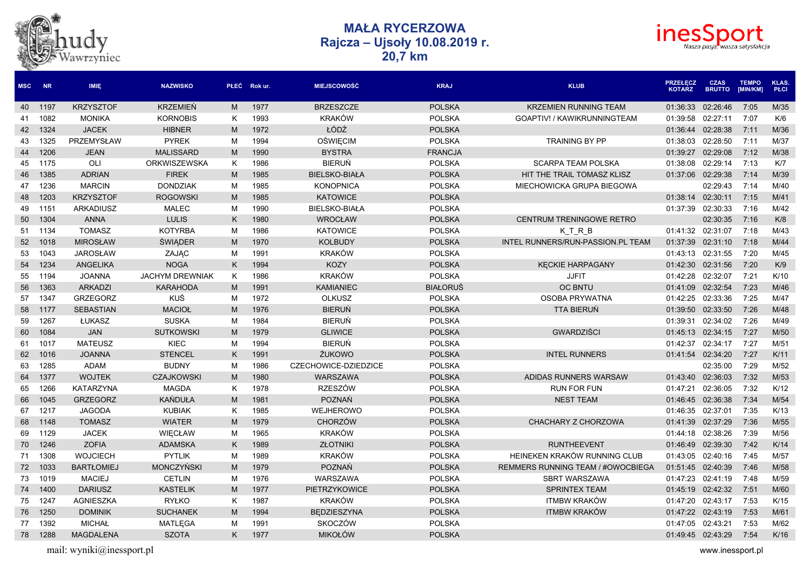



| <b>MSC</b> | <b>NR</b> | <b>IMIE</b>       | <b>NAZWISKO</b>        |   | PŁEĆ Rok ur. | <b>MIEJSCOWOŚĆ</b>   | <b>KRAJ</b>     | <b>KLUB</b>                              | <b>PRZEŁĘCZ</b><br><b>KOTARZ</b> | <b>CZAS</b><br><b>BRUTTO</b> | <b>TEMPO</b><br>[MIN/KM] | <b>KLAS.</b><br><b>PŁCI</b> |
|------------|-----------|-------------------|------------------------|---|--------------|----------------------|-----------------|------------------------------------------|----------------------------------|------------------------------|--------------------------|-----------------------------|
| 40         | 1197      | <b>KRZYSZTOF</b>  | <b>KRZEMIEŃ</b>        | M | 1977         | <b>BRZESZCZE</b>     | <b>POLSKA</b>   | <b>KRZEMIEN RUNNING TEAM</b>             | 01:36:33                         | 02:26:46                     | 7:05                     | M/35                        |
| 41         | 1082      | <b>MONIKA</b>     | <b>KORNOBIS</b>        | K | 1993         | <b>KRAKÓW</b>        | <b>POLSKA</b>   | GOAPTIV! / KAWIKRUNNINGTEAM              | 01:39:58                         | 02:27:11                     | 7:07                     | K/6                         |
| 42         | 1324      | <b>JACEK</b>      | <b>HIBNER</b>          | M | 1972         | ŁÓDŹ                 | <b>POLSKA</b>   |                                          | 01:36:44                         | 02:28:38                     | 7:11                     | M/36                        |
| 43         | 1325      | PRZEMYSŁAW        | <b>PYREK</b>           | M | 1994         | <b>OŚWIĘCIM</b>      | <b>POLSKA</b>   | <b>TRAINING BY PP</b>                    | 01:38:03                         | 02:28:50                     | 7:11                     | M/37                        |
| 44         | 1206      | <b>JEAN</b>       | <b>MALISSARD</b>       | M | 1990         | <b>BYSTRA</b>        | <b>FRANCJA</b>  |                                          | 01:39:27                         | 02:29:08                     | 7:12                     | M/38                        |
| 45         | 1175      | OLI               | <b>ORKWISZEWSKA</b>    | K | 1986         | <b>BIERUŃ</b>        | <b>POLSKA</b>   | <b>SCARPA TEAM POLSKA</b>                | 01:38:08                         | 02:29:14                     | 7:13                     | K/7                         |
| 46         | 1385      | <b>ADRIAN</b>     | <b>FIREK</b>           | M | 1985         | <b>BIELSKO-BIAŁA</b> | <b>POLSKA</b>   | HIT THE TRAIL TOMASZ KLISZ               | 01:37:06                         | 02:29:38                     | 7:14                     | M/39                        |
| 47         | 1236      | <b>MARCIN</b>     | <b>DONDZIAK</b>        | M | 1985         | <b>KONOPNICA</b>     | <b>POLSKA</b>   | MIECHOWICKA GRUPA BIEGOWA                |                                  | 02:29:43                     | 7:14                     | M/40                        |
| 48         | 1203      | <b>KRZYSZTOF</b>  | <b>ROGOWSKI</b>        | M | 1985         | <b>KATOWICE</b>      | <b>POLSKA</b>   |                                          | 01:38:14                         | 02:30:11                     | 7:15                     | M/41                        |
| 49         | 1151      | <b>ARKADIUSZ</b>  | <b>MALEC</b>           | M | 1990         | <b>BIELSKO-BIAŁA</b> | <b>POLSKA</b>   |                                          | 01:37:39                         | 02:30:33                     | 7:16                     | M/42                        |
| 50         | 1304      | <b>ANNA</b>       | <b>LULIS</b>           | K | 1980         | <b>WROCŁAW</b>       | <b>POLSKA</b>   | <b>CENTRUM TRENINGOWE RETRO</b>          |                                  | 02:30:35                     | 7:16                     | K/8                         |
| 51         | 1134      | <b>TOMASZ</b>     | <b>KOTYRBA</b>         | M | 1986         | <b>KATOWICE</b>      | <b>POLSKA</b>   | KTRB                                     | 01:41:32 02:31:07                |                              | 7:18                     | M/43                        |
| 52         | 1018      | <b>MIROSŁAW</b>   | <b>ŚWIĄDER</b>         | M | 1970         | <b>KOLBUDY</b>       | <b>POLSKA</b>   | INTEL RUNNERS/RUN-PASSION.PL TEAM        | 01:37:39                         | 02:31:10                     | 7:18                     | M/44                        |
| 53         | 1043      | <b>JAROSŁAW</b>   | ZAJĄC                  | M | 1991         | <b>KRAKÓW</b>        | <b>POLSKA</b>   |                                          | 01:43:13                         | 02:31:55                     | 7:20                     | M/45                        |
| 54         | 1234      | ANGELIKA          | <b>NOGA</b>            | K | 1994         | <b>KOZY</b>          | <b>POLSKA</b>   | <b>KECKIE HARPAGANY</b>                  | 01:42:30                         | 02:31:56                     | 7:20                     | K/9                         |
| 55         | 1194      | <b>JOANNA</b>     | <b>JACHYM DREWNIAK</b> | K | 1986         | <b>KRAKÓW</b>        | <b>POLSKA</b>   | <b>JJFIT</b>                             | 01:42:28                         | 02:32:07                     | 7:21                     | K/10                        |
| 56         | 1363      | <b>ARKADZI</b>    | <b>KARAHODA</b>        | M | 1991         | <b>KAMIANIEC</b>     | <b>BIAŁORUŚ</b> | <b>OC BNTU</b>                           | 01:41:09                         | 02:32:54                     | 7:23                     | M/46                        |
| 57         | 1347      | <b>GRZEGORZ</b>   | KUŚ                    | M | 1972         | <b>OLKUSZ</b>        | <b>POLSKA</b>   | <b>OSOBA PRYWATNA</b>                    | 01:42:25                         | 02:33:36                     | 7:25                     | M/47                        |
| 58         | 1177      | <b>SEBASTIAN</b>  | <b>MACIOŁ</b>          | M | 1976         | <b>BIERUŃ</b>        | <b>POLSKA</b>   | <b>TTA BIERUŃ</b>                        | 01:39:50                         | 02:33:50                     | 7:26                     | M/48                        |
| 59         | 1267      | <b>ŁUKASZ</b>     | <b>SUSKA</b>           | M | 1984         | <b>BIERUŃ</b>        | <b>POLSKA</b>   |                                          | 01:39:31                         | 02:34:02                     | 7:26                     | M/49                        |
| 60         | 1084      | <b>JAN</b>        | <b>SUTKOWSKI</b>       | M | 1979         | <b>GLIWICE</b>       | <b>POLSKA</b>   | <b>GWARDZIŚCI</b>                        | 01:45:13                         | 02:34:15                     | 7:27                     | M/50                        |
| 61         | 1017      | <b>MATEUSZ</b>    | <b>KIEC</b>            | м | 1994         | <b>BIERUŃ</b>        | <b>POLSKA</b>   |                                          | 01:42:37                         | 02:34:17                     | 7:27                     | M/51                        |
| 62         | 1016      | <b>JOANNA</b>     | <b>STENCEL</b>         | K | 1991         | ŻUKOWO               | <b>POLSKA</b>   | <b>INTEL RUNNERS</b>                     |                                  | 01:41:54 02:34:20            | 7:27                     | K/11                        |
| 63         | 1285      | ADAM              | <b>BUDNY</b>           | M | 1986         | CZECHOWICE-DZIEDZICE | <b>POLSKA</b>   |                                          |                                  | 02:35:00                     | 7:29                     | M/52                        |
| 64         | 1377      | <b>WOJTEK</b>     | <b>CZAJKOWSKI</b>      | M | 1980         | <b>WARSZAWA</b>      | <b>POLSKA</b>   | ADIDAS RUNNERS WARSAW                    | 01:43:40                         | 02:36:03                     | 7:32                     | M/53                        |
| 65         | 1266      | KATARZYNA         | <b>MAGDA</b>           | K | 1978         | <b>RZESZÓW</b>       | <b>POLSKA</b>   | <b>RUN FOR FUN</b>                       | 01:47:21                         | 02:36:05                     | 7:32                     | K/12                        |
| 66         | 1045      | <b>GRZEGORZ</b>   | <b>KAŃDUŁA</b>         | M | 1981         | <b>POZNAŃ</b>        | <b>POLSKA</b>   | <b>NEST TEAM</b>                         | 01:46:45                         | 02:36:38                     | 7:34                     | M/54                        |
| 67         | 1217      | <b>JAGODA</b>     | <b>KUBIAK</b>          | K | 1985         | WEJHEROWO            | <b>POLSKA</b>   |                                          | 01:46:35                         | 02:37:01                     | 7:35                     | K/13                        |
| 68         | 1148      | <b>TOMASZ</b>     | <b>WIATER</b>          | M | 1979         | <b>CHORZÓW</b>       | <b>POLSKA</b>   | CHACHARY Z CHORZOWA                      | 01:41:39                         | 02:37:29                     | 7:36                     | M/55                        |
| 69         | 1129      | <b>JACEK</b>      | WIĘCŁAW                | м | 1965         | <b>KRAKÓW</b>        | <b>POLSKA</b>   |                                          | 01:44:18                         | 02:38:26                     | 7:39                     | M/56                        |
| 70         | 1246      | <b>ZOFIA</b>      | <b>ADAMSKA</b>         | K | 1989         | <b>ZŁOTNIKI</b>      | <b>POLSKA</b>   | <b>RUNTHEEVENT</b>                       | 01:46:49 02:39:30                |                              | 7:42                     | K/14                        |
| 71         | 1308      | <b>WOJCIECH</b>   | <b>PYTLIK</b>          | м | 1989         | <b>KRAKÓW</b>        | <b>POLSKA</b>   | HEINEKEN KRAKÓW RUNNING CLUB             | 01:43:05                         | 02:40:16                     | 7:45                     | M/57                        |
| 72         | 1033      | <b>BARTŁOMIEJ</b> | <b>MONCZYŃSKI</b>      | M | 1979         | <b>POZNAŃ</b>        | <b>POLSKA</b>   | <b>REMMERS RUNNING TEAM / #OWOCBIEGA</b> | 01:51:45                         | 02:40:39                     | 7:46                     | M/58                        |
| 73         | 1019      | <b>MACIEJ</b>     | <b>CETLIN</b>          | M | 1976         | <b>WARSZAWA</b>      | <b>POLSKA</b>   | <b>SBRT WARSZAWA</b>                     | 01:47:23                         | 02:41:19                     | 7:48                     | M/59                        |
| 74         | 1400      | <b>DARIUSZ</b>    | <b>KASTELIK</b>        | M | 1977         | <b>PIETRZYKOWICE</b> | <b>POLSKA</b>   | <b>SPRINTEX TEAM</b>                     | 01:45:19                         | 02:42:32                     | 7:51                     | M/60                        |
| 75         | 1247      | <b>AGNIESZKA</b>  | <b>RYŁKO</b>           | K | 1987         | <b>KRAKÓW</b>        | <b>POLSKA</b>   | <b>ITMBW KRAKÓW</b>                      | 01:47:20                         | 02:43:17                     | 7:53                     | K/15                        |
| 76         | 1250      | <b>DOMINIK</b>    | <b>SUCHANEK</b>        | M | 1994         | <b>BEDZIESZYNA</b>   | <b>POLSKA</b>   | <b>ITMBW KRAKÓW</b>                      | 01:47:22 02:43:19                |                              | 7:53                     | M/61                        |
| 77         | 1392      | <b>MICHAŁ</b>     | <b>MATLEGA</b>         | M | 1991         | SKOCZÓW              | <b>POLSKA</b>   |                                          | 01:47:05 02:43:21                |                              | 7:53                     | M/62                        |
| 78         | 1288      | <b>MAGDALENA</b>  | <b>SZOTA</b>           | K | 1977         | <b>MIKOŁÓW</b>       | <b>POLSKA</b>   |                                          | 01:49:45 02:43:29                |                              | 7:54                     | K/16                        |

hudy<br><sub>Wawrzyniec</sub>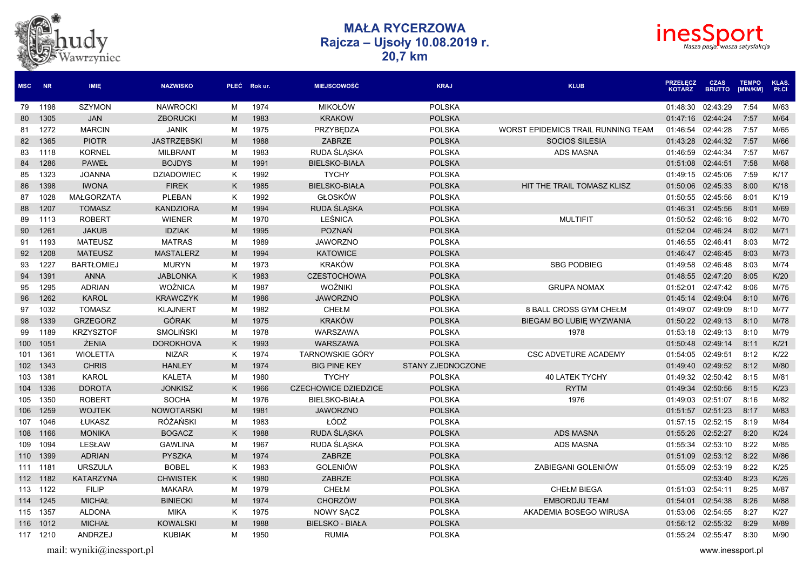



| <b>MSC</b>       | <b>NR</b> | <b>IMIE</b>       | <b>NAZWISKO</b>    |   | PŁEĆ Rokur. | <b>MIEJSCOWOŚĆ</b>          | <b>KRAJ</b>       | <b>KLUB</b>                        | <b>PRZEŁĘCZ</b><br><b>KOTARZ</b> | <b>CZAS</b><br><b>BRUTTO</b> | <b>TEMPO</b><br>[MIN/KM] | <b>KLAS.</b><br>PŁCI |
|------------------|-----------|-------------------|--------------------|---|-------------|-----------------------------|-------------------|------------------------------------|----------------------------------|------------------------------|--------------------------|----------------------|
| 79               | 1198      | <b>SZYMON</b>     | <b>NAWROCKI</b>    | M | 1974        | <b>MIKOŁÓW</b>              | <b>POLSKA</b>     |                                    | 01:48:30                         | 02:43:29                     | 7:54                     | M/63                 |
| 80               | 1305      | <b>JAN</b>        | <b>ZBORUCKI</b>    | M | 1983        | <b>KRAKOW</b>               | <b>POLSKA</b>     |                                    | 01:47:16                         | 02:44:24                     | 7:57                     | M/64                 |
| 81               | 1272      | <b>MARCIN</b>     | <b>JANIK</b>       | M | 1975        | PRZYBĘDZA                   | <b>POLSKA</b>     | WORST EPIDEMICS TRAIL RUNNING TEAM | 01:46:54                         | 02:44:28                     | 7:57                     | M/65                 |
| 82               | 1365      | <b>PIOTR</b>      | <b>JASTRZEBSKI</b> | M | 1988        | <b>ZABRZE</b>               | <b>POLSKA</b>     | <b>SOCIOS SILESIA</b>              | 01:43:28                         | 02:44:32                     | 7:57                     | M/66                 |
| 83               | 1118      | <b>KORNEL</b>     | <b>MILBRANT</b>    | M | 1983        | RUDA ŚLĄSKA                 | <b>POLSKA</b>     | <b>ADS MASNA</b>                   | 01:46:59                         | 02:44:34                     | 7:57                     | M/67                 |
| 84               | 1286      | <b>PAWEŁ</b>      | <b>BOJDYS</b>      | M | 1991        | <b>BIELSKO-BIAŁA</b>        | <b>POLSKA</b>     |                                    | 01:51:08                         | 02:44:51                     | 7:58                     | M/68                 |
| 85               | 1323      | <b>JOANNA</b>     | <b>DZIADOWIEC</b>  | K | 1992        | <b>TYCHY</b>                | <b>POLSKA</b>     |                                    | 01:49:15                         | 02:45:06                     | 7:59                     | K/17                 |
| 86               | 1398      | <b>IWONA</b>      | <b>FIREK</b>       | K | 1985        | <b>BIELSKO-BIAŁA</b>        | <b>POLSKA</b>     | HIT THE TRAIL TOMASZ KLISZ         | 01:50:06                         | 02:45:33                     | 8:00                     | K/18                 |
| 87               | 1028      | MAŁGORZATA        | <b>PLEBAN</b>      | K | 1992        | <b>GŁOSKÓW</b>              | <b>POLSKA</b>     |                                    | 01:50:55                         | 02:45:56                     | 8:01                     | K/19                 |
| 88               | 1207      | <b>TOMASZ</b>     | <b>KANDZIORA</b>   | M | 1994        | RUDA ŚLĄSKA                 | <b>POLSKA</b>     |                                    | 01:46:31                         | 02:45:56                     | 8:01                     | M/69                 |
| 89               | 1113      | <b>ROBERT</b>     | <b>WIENER</b>      | M | 1970        | LEŚNICA                     | <b>POLSKA</b>     | <b>MULTIFIT</b>                    | 01:50:52                         | 02:46:16                     | 8:02                     | M/70                 |
| 90               | 1261      | <b>JAKUB</b>      | <b>IDZIAK</b>      | M | 1995        | POZNAŃ                      | <b>POLSKA</b>     |                                    | 01:52:04                         | 02:46:24                     | 8:02                     | M/71                 |
| 91               | 1193      | <b>MATEUSZ</b>    | <b>MATRAS</b>      | M | 1989        | <b>JAWORZNO</b>             | <b>POLSKA</b>     |                                    | 01:46:55                         | 02:46:41                     | 8:03                     | M/72                 |
| 92               | 1208      | <b>MATEUSZ</b>    | <b>MASTALERZ</b>   | M | 1994        | <b>KATOWICE</b>             | <b>POLSKA</b>     |                                    | 01:46:47                         | 02:46:45                     | 8:03                     | M/73                 |
| 93               | 1227      | <b>BARTŁOMIEJ</b> | <b>MURYN</b>       | M | 1973        | <b>KRAKÓW</b>               | <b>POLSKA</b>     | <b>SBG PODBIEG</b>                 | 01:49:58                         | 02:46:48                     | 8:03                     | M/74                 |
| 94               | 1391      | <b>ANNA</b>       | <b>JABLONKA</b>    | K | 1983        | <b>CZESTOCHOWA</b>          | <b>POLSKA</b>     |                                    | 01:48:55                         | 02:47:20                     | 8:05                     | K/20                 |
| 95               | 1295      | <b>ADRIAN</b>     | <b>WOŹNICA</b>     | M | 1987        | WOŹNIKI                     | <b>POLSKA</b>     | <b>GRUPA NOMAX</b>                 | 01:52:01                         | 02:47:42                     | 8:06                     | M/75                 |
| 96               | 1262      | <b>KAROL</b>      | <b>KRAWCZYK</b>    | M | 1986        | <b>JAWORZNO</b>             | <b>POLSKA</b>     |                                    | 01:45:14                         | 02:49:04                     | 8:10                     | M/76                 |
| 97               | 1032      | <b>TOMASZ</b>     | <b>KLAJNERT</b>    | M | 1982        | <b>CHEŁM</b>                | <b>POLSKA</b>     | 8 BALL CROSS GYM CHEŁM             | 01:49:07                         | 02:49:09                     | 8:10                     | M/77                 |
| 98               | 1339      | <b>GRZEGORZ</b>   | <b>GÓRAK</b>       | M | 1975        | <b>KRAKÓW</b>               | <b>POLSKA</b>     | BIEGAM BO LUBIE WYZWANIA           | 01:50:22                         | 02:49:13                     | 8:10                     | M/78                 |
| 99               | 1189      | <b>KRZYSZTOF</b>  | <b>SMOLIŃSKI</b>   | M | 1978        | WARSZAWA                    | <b>POLSKA</b>     | 1978                               | 01:53:18                         | 02:49:13                     | 8:10                     | M/79                 |
| 100 <sub>1</sub> | 1051      | <b>ŻENIA</b>      | <b>DOROKHOVA</b>   | K | 1993        | WARSZAWA                    | <b>POLSKA</b>     |                                    | 01:50:48                         | 02:49:14                     | 8:11                     | K/21                 |
| 101              | 1361      | <b>WIOLETTA</b>   | <b>NIZAR</b>       | K | 1974        | <b>TARNOWSKIE GÓRY</b>      | <b>POLSKA</b>     | <b>CSC ADVETURE ACADEMY</b>        | 01:54:05                         | 02:49:51                     | 8:12                     | K/22                 |
| 102 <sub>2</sub> | 1343      | <b>CHRIS</b>      | <b>HANLEY</b>      | M | 1974        | <b>BIG PINE KEY</b>         | STANY ZJEDNOCZONE |                                    | 01:49:40                         | 02:49:52                     | 8:12                     | M/80                 |
| 103              | 1381      | <b>KAROL</b>      | <b>KALETA</b>      | M | 1980        | <b>TYCHY</b>                | <b>POLSKA</b>     | <b>40 LATEK TYCHY</b>              | 01:49:32                         | 02:50:42                     | 8:15                     | M/81                 |
| 104              | 1336      | <b>DOROTA</b>     | <b>JONKISZ</b>     | K | 1966        | <b>CZECHOWICE DZIEDZICE</b> | <b>POLSKA</b>     | <b>RYTM</b>                        | 01:49:34                         | 02:50:56                     | 8:15                     | K/23                 |
| 105              | 1350      | <b>ROBERT</b>     | <b>SOCHA</b>       | M | 1976        | <b>BIELSKO-BIAŁA</b>        | <b>POLSKA</b>     | 1976                               | 01:49:03                         | 02:51:07                     | 8:16                     | M/82                 |
| 106              | 1259      | <b>WOJTEK</b>     | <b>NOWOTARSKI</b>  | M | 1981        | <b>JAWORZNO</b>             | <b>POLSKA</b>     |                                    | 01:51:57                         | 02:51:23                     | 8:17                     | M/83                 |
| 107              | 1046      | ŁUKASZ            | <b>RÓŻAŃSKI</b>    | M | 1983        | ŁÓDŹ                        | <b>POLSKA</b>     |                                    | 01:57:15                         | 02:52:15                     | 8:19                     | M/84                 |
| 108              | 1166      | <b>MONIKA</b>     | <b>BOGACZ</b>      | K | 1988        | RUDA ŚLĄSKA                 | <b>POLSKA</b>     | <b>ADS MASNA</b>                   | 01:55:26                         | 02:52:27                     | 8:20                     | K/24                 |
| 109              | 1094      | LESŁAW            | <b>GAWLINA</b>     | M | 1967        | RUDA ŚLĄSKA                 | <b>POLSKA</b>     | <b>ADS MASNA</b>                   | 01:55:34                         | 02:53:10                     | 8:22                     | M/85                 |
| 110              | 1399      | <b>ADRIAN</b>     | <b>PYSZKA</b>      | M | 1974        | <b>ZABRZE</b>               | <b>POLSKA</b>     |                                    | 01:51:09                         | 02:53:12                     | 8:22                     | M/86                 |
| 111              | 1181      | <b>URSZULA</b>    | <b>BOBEL</b>       | K | 1983        | <b>GOLENIÓW</b>             | <b>POLSKA</b>     | ZABIEGANI GOLENIÓW                 | 01:55:09                         | 02:53:19                     | 8:22                     | K/25                 |
| 112              | 1182      | <b>KATARZYNA</b>  | <b>CHWISTEK</b>    | K | 1980        | <b>ZABRZE</b>               | <b>POLSKA</b>     |                                    |                                  | 02:53:40                     | 8:23                     | K/26                 |
| 113              | 1122      | <b>FILIP</b>      | <b>MAKARA</b>      | M | 1979        | <b>CHEŁM</b>                | <b>POLSKA</b>     | <b>CHEŁM BIEGA</b>                 | 01:51:03                         | 02:54:11                     | 8:25                     | M/87                 |
| 114              | 1245      | <b>MICHAŁ</b>     | <b>BINIECKI</b>    | M | 1974        | <b>CHORZÓW</b>              | <b>POLSKA</b>     | <b>EMBORDJU TEAM</b>               | 01:54:01                         | 02:54:38                     | 8:26                     | M/88                 |
| 115              | 1357      | <b>ALDONA</b>     | <b>MIKA</b>        | K | 1975        | NOWY SĄCZ                   | <b>POLSKA</b>     | AKADEMIA BOSEGO WIRUSA             | 01:53:06                         | 02:54:55                     | 8:27                     | K/27                 |
| 116              | 1012      | <b>MICHAŁ</b>     | <b>KOWALSKI</b>    | M | 1988        | <b>BIELSKO - BIAŁA</b>      | <b>POLSKA</b>     |                                    | 01:56:12                         | 02:55:32                     | 8:29                     | M/89                 |
| 117              | 1210      | ANDRZEJ           | <b>KUBIAK</b>      | м | 1950        | <b>RUMIA</b>                | <b>POLSKA</b>     |                                    | 01:55:24                         | 02:55:47                     | 8:30                     | M/90                 |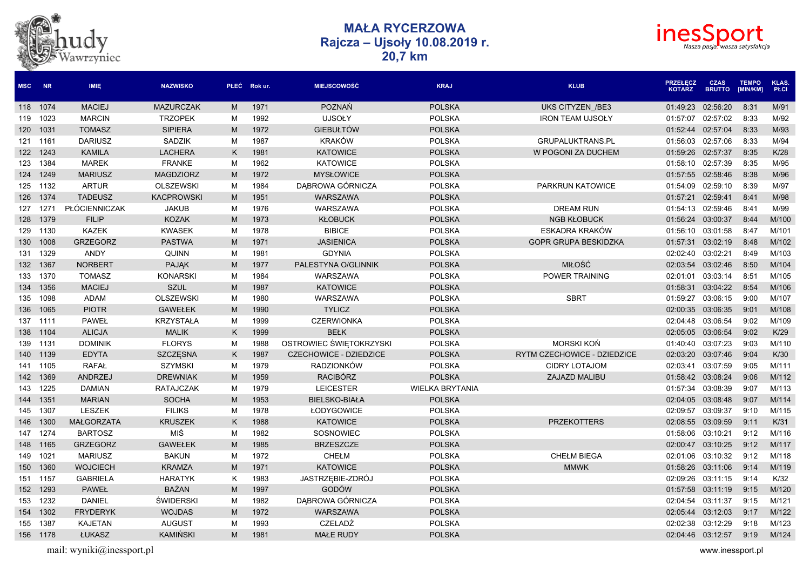



| <b>MSC</b> | <b>NR</b> | <b>IMIE</b>       | <b>NAZWISKO</b>   |   | PŁEĆ Rokur. | <b>MIEJSCOWOŚĆ</b>            | <b>KRAJ</b>            | <b>KLUB</b>                 | <b>PRZEŁĘCZ</b><br><b>KOTARZ</b> | <b>CZAS</b><br><b>BRUTTO</b> | <b>TEMPO</b><br>[MIN/KM] | <b>KLAS.</b><br><b>PŁCI</b> |
|------------|-----------|-------------------|-------------------|---|-------------|-------------------------------|------------------------|-----------------------------|----------------------------------|------------------------------|--------------------------|-----------------------------|
|            | 118 1074  | <b>MACIEJ</b>     | <b>MAZURCZAK</b>  | M | 1971        | <b>POZNAŃ</b>                 | <b>POLSKA</b>          | UKS CITYZEN /BE3            | 01:49:23                         | 02:56:20                     | 8:31                     | M/91                        |
| 119        | 1023      | <b>MARCIN</b>     | <b>TRZOPEK</b>    | M | 1992        | <b>UJSOŁY</b>                 | <b>POLSKA</b>          | <b>IRON TEAM UJSOŁY</b>     | 01:57:07                         | 02:57:02                     | 8:33                     | M/92                        |
| 120        | 1031      | <b>TOMASZ</b>     | <b>SIPIERA</b>    | M | 1972        | <b>GIEBUŁTÓW</b>              | <b>POLSKA</b>          |                             | 01:52:44                         | 02:57:04                     | 8:33                     | M/93                        |
| 121        | 1161      | <b>DARIUSZ</b>    | <b>SADZIK</b>     | M | 1987        | <b>KRAKÓW</b>                 | <b>POLSKA</b>          | <b>GRUPALUKTRANS.PL</b>     | 01:56:03                         | 02:57:06                     | 8:33                     | M/94                        |
| 122        | 1243      | <b>KAMILA</b>     | <b>LACHERA</b>    | K | 1981        | <b>KATOWICE</b>               | <b>POLSKA</b>          | W POGONI ZA DUCHEM          | 01:59:26                         | 02:57:37                     | 8:35                     | K/28                        |
| 123        | 1384      | <b>MAREK</b>      | <b>FRANKE</b>     | M | 1962        | <b>KATOWICE</b>               | <b>POLSKA</b>          |                             | 01:58:10                         | 02:57:39                     | 8:35                     | M/95                        |
|            | 124 1249  | <b>MARIUSZ</b>    | <b>MAGDZIORZ</b>  | M | 1972        | <b>MYSŁOWICE</b>              | <b>POLSKA</b>          |                             | 01:57:55                         | 02:58:46                     | 8:38                     | M/96                        |
|            | 125 1132  | <b>ARTUR</b>      | <b>OLSZEWSKI</b>  | м | 1984        | DĄBROWA GÓRNICZA              | <b>POLSKA</b>          | PARKRUN KATOWICE            | 01:54:09                         | 02:59:10                     | 8:39                     | M/97                        |
|            | 126 1374  | <b>TADEUSZ</b>    | <b>KACPROWSKI</b> | M | 1951        | WARSZAWA                      | <b>POLSKA</b>          |                             | 01:57:21                         | 02:59:41                     | 8:41                     | M/98                        |
| 127        | 1271      | PŁÓCIENNICZAK     | <b>JAKUB</b>      | м | 1976        | WARSZAWA                      | <b>POLSKA</b>          | <b>DREAM RUN</b>            | 01:54:13                         | 02:59:46                     | 8:41                     | M/99                        |
| 128        | 1379      | <b>FILIP</b>      | <b>KOZAK</b>      | M | 1973        | <b>KŁOBUCK</b>                | <b>POLSKA</b>          | <b>NGB KŁOBUCK</b>          | 01:56:24                         | 03:00:37                     | 8:44                     | M/100                       |
| 129        | 1130      | <b>KAZEK</b>      | <b>KWASEK</b>     | M | 1978        | <b>BIBICE</b>                 | <b>POLSKA</b>          | ESKADRA KRAKÓW              | 01:56:10                         | 03:01:58                     | 8:47                     | M/101                       |
| 130        | 1008      | <b>GRZEGORZ</b>   | <b>PASTWA</b>     | M | 1971        | <b>JASIENICA</b>              | <b>POLSKA</b>          | <b>GOPR GRUPA BESKIDZKA</b> | 01:57:31                         | 03:02:19                     | 8:48                     | M/102                       |
| 131        | 1329      | <b>ANDY</b>       | <b>QUINN</b>      | M | 1981        | <b>GDYNIA</b>                 | <b>POLSKA</b>          |                             | 02:02:40                         | 03:02:21                     | 8:49                     | M/103                       |
|            | 132 1367  | <b>NORBERT</b>    | <b>PAJAK</b>      | M | 1977        | PALESTYNA O/GLINNIK           | <b>POLSKA</b>          | MIŁOŚĆ                      | 02:03:54                         | 03:02:46                     | 8:50                     | M/104                       |
| 133        | 1370      | <b>TOMASZ</b>     | <b>KONARSKI</b>   | M | 1984        | WARSZAWA                      | <b>POLSKA</b>          | POWER TRAINING              | 02:01:01                         | 03:03:14                     | 8:51                     | M/105                       |
| 134        | 1356      | <b>MACIEJ</b>     | <b>SZUL</b>       | M | 1987        | <b>KATOWICE</b>               | <b>POLSKA</b>          |                             | 01:58:31                         | 03:04:22                     | 8:54                     | M/106                       |
| 135        | 1098      | ADAM              | <b>OLSZEWSKI</b>  | M | 1980        | WARSZAWA                      | <b>POLSKA</b>          | <b>SBRT</b>                 | 01:59:27                         | 03:06:15                     | 9:00                     | M/107                       |
| 136        | 1065      | <b>PIOTR</b>      | <b>GAWEŁEK</b>    | M | 1990        | <b>TYLICZ</b>                 | <b>POLSKA</b>          |                             | 02:00:35                         | 03:06:35                     | 9:01                     | M/108                       |
|            | 137 1111  | <b>PAWEŁ</b>      | <b>KRZYSTAŁA</b>  | M | 1999        | <b>CZERWIONKA</b>             | <b>POLSKA</b>          |                             | 02:04:48                         | 03:06:54                     | 9:02                     | M/109                       |
|            | 138 1104  | <b>ALICJA</b>     | <b>MALIK</b>      | K | 1999        | <b>BEŁK</b>                   | <b>POLSKA</b>          |                             | 02:05:05                         | 03:06:54                     | 9:02                     | K/29                        |
|            | 139 1131  | <b>DOMINIK</b>    | <b>FLORYS</b>     | M | 1988        | OSTROWIEC ŚWIĘTOKRZYSKI       | <b>POLSKA</b>          | <b>MORSKI KOŃ</b>           | 01:40:40                         | 03:07:23                     | 9:03                     | M/110                       |
| 140        | 1139      | <b>EDYTA</b>      | SZCZĘSNA          | K | 1987        | <b>CZECHOWICE - DZIEDZICE</b> | <b>POLSKA</b>          | RYTM CZECHOWICE - DZIEDZICE | 02:03:20                         | 03:07:46                     | 9:04                     | K/30                        |
| 141        | 1105      | <b>RAFAŁ</b>      | <b>SZYMSKI</b>    | M | 1979        | <b>RADZIONKÓW</b>             | <b>POLSKA</b>          | <b>CIDRY LOTAJOM</b>        | 02:03:41                         | 03:07:59                     | 9:05                     | M/111                       |
| 142        | 1369      | <b>ANDRZEJ</b>    | <b>DREWNIAK</b>   | M | 1959        | <b>RACIBÓRZ</b>               | <b>POLSKA</b>          | <b>ZAJAZD MALIBU</b>        | 01:58:42                         | 03:08:24                     | 9:06                     | M/112                       |
| 143        | 1225      | <b>DAMIAN</b>     | <b>RATAJCZAK</b>  | M | 1979        | <b>LEICESTER</b>              | <b>WIELKA BRYTANIA</b> |                             | 01:57:34                         | 03:08:39                     | 9:07                     | M/113                       |
| 144        | 1351      | <b>MARIAN</b>     | <b>SOCHA</b>      | M | 1953        | <b>BIELSKO-BIAŁA</b>          | <b>POLSKA</b>          |                             | 02:04:05                         | 03:08:48                     | 9:07                     | M/114                       |
| 145        | 1307      | <b>LESZEK</b>     | <b>FILIKS</b>     | M | 1978        | ŁODYGOWICE                    | <b>POLSKA</b>          |                             | 02:09:57                         | 03:09:37                     | 9:10                     | M/115                       |
| 146        | 1300      | <b>MAŁGORZATA</b> | <b>KRUSZEK</b>    | K | 1988        | <b>KATOWICE</b>               | <b>POLSKA</b>          | <b>PRZEKOTTERS</b>          | 02:08:55                         | 03:09:59                     | 9:11                     | K/31                        |
| 147        | 1274      | <b>BARTOSZ</b>    | MIŚ               | м | 1982        | SOSNOWIEC                     | <b>POLSKA</b>          |                             | 01:58:06                         | 03:10:21                     | 9:12                     | M/116                       |
| 148        | 1165      | <b>GRZEGORZ</b>   | <b>GAWEŁEK</b>    | M | 1985        | <b>BRZESZCZE</b>              | <b>POLSKA</b>          |                             | 02:00:47                         | 03:10:25                     | 9:12                     | M/117                       |
| 149        | 1021      | <b>MARIUSZ</b>    | <b>BAKUN</b>      | M | 1972        | <b>CHEŁM</b>                  | <b>POLSKA</b>          | <b>CHEŁM BIEGA</b>          | 02:01:06                         | 03:10:32                     | 9:12                     | M/118                       |
| 150        | 1360      | <b>WOJCIECH</b>   | <b>KRAMZA</b>     | M | 1971        | <b>KATOWICE</b>               | <b>POLSKA</b>          | <b>MMWK</b>                 | 01:58:26                         | 03:11:06                     | 9:14                     | M/119                       |
| 151        | 1157      | <b>GABRIELA</b>   | <b>HARATYK</b>    | K | 1983        | JASTRZĘBIE-ZDRÓJ              | <b>POLSKA</b>          |                             | 02:09:26                         | 03:11:15                     | 9:14                     | K/32                        |
| 152        | 1293      | <b>PAWEŁ</b>      | <b>BAŻAN</b>      | M | 1997        | GODÓW                         | <b>POLSKA</b>          |                             | 01:57:58                         | 03:11:19                     | 9:15                     | M/120                       |
| 153        | 1232      | DANIEL            | ŚWIDERSKI         | M | 1982        | DĄBROWA GÓRNICZA              | <b>POLSKA</b>          |                             | 02:04:54                         | 03:11:37                     | 9:15                     | M/121                       |
| 154        | 1302      | <b>FRYDERYK</b>   | <b>WOJDAS</b>     | M | 1972        | WARSZAWA                      | <b>POLSKA</b>          |                             | 02:05:44                         | 03:12:03                     | 9:17                     | M/122                       |
| 155        | 1387      | KAJETAN           | <b>AUGUST</b>     | м | 1993        | CZELADŻ                       | <b>POLSKA</b>          |                             | 02:02:38                         | 03:12:29                     | 9:18                     | M/123                       |
|            | 156 1178  | <b>ŁUKASZ</b>     | <b>KAMINSKI</b>   | M | 1981        | <b>MAŁE RUDY</b>              | <b>POLSKA</b>          |                             | 02:04:46                         | 03:12:57                     | 9:19                     | M/124                       |

mail: wyniki@inessport.pl www.inessport.pl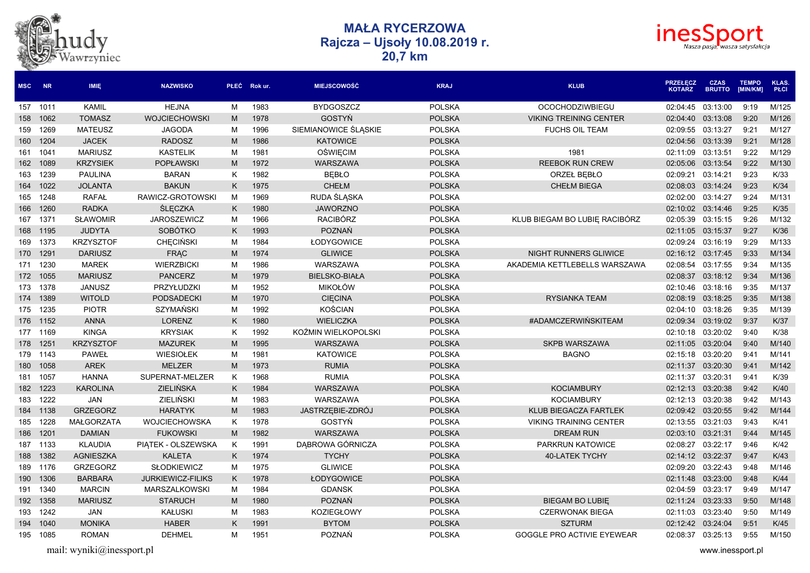



| <b>MSC</b> | <b>NR</b> | <b>IMIE</b>       | <b>NAZWISKO</b>          |   | PŁEĆ Rok ur. | <b>MIEJSCOWOŚĆ</b>   | <b>KRAJ</b>   | <b>KLUB</b>                       | <b>PRZEŁECZ</b><br><b>KOTARZ</b> | <b>CZAS</b><br><b>BRUTTO</b> | <b>TEMPO</b><br>[MIN/KM] | <b>KLAS</b><br>PŁCI |
|------------|-----------|-------------------|--------------------------|---|--------------|----------------------|---------------|-----------------------------------|----------------------------------|------------------------------|--------------------------|---------------------|
|            | 157 1011  | <b>KAMIL</b>      | <b>HEJNA</b>             | M | 1983         | <b>BYDGOSZCZ</b>     | <b>POLSKA</b> | <b>OCOCHODZIWBIEGU</b>            | 02:04:45                         | 03:13:00                     | 9:19                     | M/125               |
|            | 158 1062  | <b>TOMASZ</b>     | <b>WOJCIECHOWSKI</b>     | M | 1978         | <b>GOSTYN</b>        | <b>POLSKA</b> | <b>VIKING TREINING CENTER</b>     | 02:04:40                         | 03:13:08                     | 9:20                     | M/126               |
| 159        | 1269      | <b>MATEUSZ</b>    | <b>JAGODA</b>            | M | 1996         | SIEMIANOWICE ŚLĄSKIE | <b>POLSKA</b> | <b>FUCHS OIL TEAM</b>             | 02:09:55                         | 03:13:27                     | 9:21                     | M/127               |
|            | 160 1204  | <b>JACEK</b>      | <b>RADOSZ</b>            | M | 1986         | <b>KATOWICE</b>      | <b>POLSKA</b> |                                   | 02:04:56                         | 03:13:39                     | 9:21                     | M/128               |
| 161        | 1041      | <b>MARIUSZ</b>    | <b>KASTELIK</b>          | M | 1981         | <b>OŚWIĘCIM</b>      | <b>POLSKA</b> | 1981                              | 02:11:09                         | 03:13:51                     | 9:22                     | M/129               |
| 162        | 1089      | <b>KRZYSIEK</b>   | <b>POPŁAWSKI</b>         | M | 1972         | <b>WARSZAWA</b>      | <b>POLSKA</b> | <b>REEBOK RUN CREW</b>            | 02:05:06                         | 03:13:54                     | 9:22                     | M/130               |
| 163        | 1239      | PAULINA           | <b>BARAN</b>             | K | 1982         | <b>BEBLO</b>         | <b>POLSKA</b> | ORZEŁ BĘBŁO                       | 02:09:21                         | 03:14:21                     | 9:23                     | K/33                |
| 164        | 1022      | <b>JOLANTA</b>    | <b>BAKUN</b>             | K | 1975         | <b>CHEŁM</b>         | <b>POLSKA</b> | <b>CHEŁM BIEGA</b>                | 02:08:03                         | 03:14:24                     | 9:23                     | K/34                |
| 165        | 1248      | <b>RAFAŁ</b>      | RAWICZ-GROTOWSKI         | M | 1969         | RUDA ŚLĄSKA          | <b>POLSKA</b> |                                   | 02:02:00                         | 03:14:27                     | 9:24                     | M/131               |
| 166        | 1260      | <b>RADKA</b>      | <b>ŚLĘCZKA</b>           | K | 1980         | <b>JAWORZNO</b>      | <b>POLSKA</b> |                                   | 02:10:02                         | 03:14:46                     | 9:25                     | K/35                |
| 167        | 1371      | <b>SŁAWOMIR</b>   | <b>JAROSZEWICZ</b>       | M | 1966         | <b>RACIBÓRZ</b>      | <b>POLSKA</b> | KLUB BIEGAM BO LUBIE RACIBÓRZ     | 02:05:39                         | 03:15:15                     | 9:26                     | M/132               |
|            | 168 1195  | <b>JUDYTA</b>     | <b>SOBÓTKO</b>           | K | 1993         | <b>POZNAŃ</b>        | <b>POLSKA</b> |                                   | 02:11:05                         | 03:15:37                     | 9:27                     | K/36                |
|            | 169 1373  | <b>KRZYSZTOF</b>  | <b>CHECINSKI</b>         | M | 1984         | ŁODYGOWICE           | <b>POLSKA</b> |                                   | 02:09:24                         | 03:16:19                     | 9:29                     | M/133               |
|            | 170 1291  | <b>DARIUSZ</b>    | <b>FRAC</b>              | M | 1974         | <b>GLIWICE</b>       | <b>POLSKA</b> | NIGHT RUNNERS GLIWICE             | 02:16:12 03:17:45                |                              | 9:33                     | M/134               |
| 171        | 1230      | <b>MAREK</b>      | <b>WIERZBICKI</b>        | M | 1986         | <b>WARSZAWA</b>      | <b>POLSKA</b> | AKADEMIA KETTLEBELLS WARSZAWA     | 02:08:54                         | 03:17:55                     | 9:34                     | M/135               |
| 172        | 1055      | <b>MARIUSZ</b>    | <b>PANCERZ</b>           | M | 1979         | <b>BIELSKO-BIAŁA</b> | <b>POLSKA</b> |                                   | 02:08:37                         | 03:18:12                     | 9:34                     | M/136               |
| 173        | 1378      | <b>JANUSZ</b>     | PRZYŁUDZKI               | M | 1952         | <b>MIKOŁÓW</b>       | <b>POLSKA</b> |                                   | 02:10:46                         | 03:18:16                     | 9:35                     | M/137               |
| 174        | 1389      | <b>WITOLD</b>     | <b>PODSADECKI</b>        | M | 1970         | <b>CIECINA</b>       | <b>POLSKA</b> | <b>RYSIANKA TEAM</b>              | 02:08:19                         | 03:18:25                     | 9:35                     | M/138               |
|            | 175 1235  | <b>PIOTR</b>      | SZYMAŃSKI                | M | 1992         | KOŚCIAN              | <b>POLSKA</b> |                                   | 02:04:10                         | 03:18:26                     | 9:35                     | M/139               |
|            | 176 1152  | <b>ANNA</b>       | LORENZ                   | K | 1980         | <b>WIELICZKA</b>     | <b>POLSKA</b> | #ADAMCZERWINSKITEAM               |                                  | 02:09:34 03:19:02            | 9:37                     | K/37                |
| 177        | 1169      | <b>KINGA</b>      | <b>KRYSIAK</b>           | K | 1992         | KOŹMIN WIELKOPOLSKI  | <b>POLSKA</b> |                                   | 02:10:18                         | 03:20:02                     | 9:40                     | K/38                |
| 178        | 1251      | <b>KRZYSZTOF</b>  | <b>MAZUREK</b>           | M | 1995         | WARSZAWA             | <b>POLSKA</b> | <b>SKPB WARSZAWA</b>              | 02:11:05                         | 03:20:04                     | 9:40                     | M/140               |
| 179        | 1143      | <b>PAWEŁ</b>      | <b>WIESIOŁEK</b>         | M | 1981         | <b>KATOWICE</b>      | <b>POLSKA</b> | <b>BAGNO</b>                      | 02:15:18                         | 03:20:20                     | 9:41                     | M/141               |
| 180        | 1058      | <b>AREK</b>       | <b>MELZER</b>            | M | 1973         | <b>RUMIA</b>         | <b>POLSKA</b> |                                   | 02:11:37                         | 03:20:30                     | 9:41                     | M/142               |
| 181        | 1057      | <b>HANNA</b>      | SUPERNAT-MELZER          | K | 1968         | <b>RUMIA</b>         | <b>POLSKA</b> |                                   | 02:11:37                         | 03:20:31                     | 9:41                     | K/39                |
|            | 182 1223  | <b>KAROLINA</b>   | ZIELIŃSKA                | K | 1984         | WARSZAWA             | <b>POLSKA</b> | <b>KOCIAMBURY</b>                 | 02:12:13                         | 03:20:38                     | 9:42                     | K/40                |
| 183        | 1222      | <b>JAN</b>        | <b>ZIELIŃSKI</b>         | M | 1983         | WARSZAWA             | <b>POLSKA</b> | <b>KOCIAMBURY</b>                 | 02:12:13                         | 03:20:38                     | 9:42                     | M/143               |
| 184        | 1138      | <b>GRZEGORZ</b>   | <b>HARATYK</b>           | M | 1983         | JASTRZĘBIE-ZDRÓJ     | <b>POLSKA</b> | KLUB BIEGACZA FARTLEK             | 02:09:42                         | 03:20:55                     | 9:42                     | M/144               |
| 185        | 1228      | <b>MAŁGORZATA</b> | <b>WOJCIECHOWSKA</b>     | K | 1978         | <b>GOSTYN</b>        | <b>POLSKA</b> | <b>VIKING TRAINING CENTER</b>     | 02:13:55                         | 03:21:03                     | 9:43                     | K/41                |
|            | 186 1201  | <b>DAMIAN</b>     | <b>FUKOWSKI</b>          | M | 1982         | <b>WARSZAWA</b>      | <b>POLSKA</b> | <b>DREAM RUN</b>                  | 02:03:10                         | 03:21:31                     | 9:44                     | M/145               |
|            | 187 1133  | <b>KLAUDIA</b>    | PIĄTEK - OLSZEWSKA       | K | 1991         | DĄBROWA GÓRNICZA     | <b>POLSKA</b> | PARKRUN KATOWICE                  | 02:08:27                         | 03:22:17                     | 9:46                     | K/42                |
|            | 188 1382  | <b>AGNIESZKA</b>  | <b>KALETA</b>            | K | 1974         | <b>TYCHY</b>         | <b>POLSKA</b> | <b>40-LATEK TYCHY</b>             | 02:14:12 03:22:37                |                              | 9:47                     | K/43                |
| 189        | 1176      | <b>GRZEGORZ</b>   | <b>SŁODKIEWICZ</b>       | M | 1975         | <b>GLIWICE</b>       | <b>POLSKA</b> |                                   | 02:09:20                         | 03:22:43                     | 9:48                     | M/146               |
| 190        | 1306      | <b>BARBARA</b>    | <b>JURKIEWICZ-FILIKS</b> | K | 1978         | ŁODYGOWICE           | <b>POLSKA</b> |                                   | 02:11:48                         | 03:23:00                     | 9:48                     | K/44                |
| 191        | 1340      | <b>MARCIN</b>     | <b>MARSZALKOWSKI</b>     | M | 1984         | <b>GDANSK</b>        | <b>POLSKA</b> |                                   | 02:04:59                         | 03:23:17                     | 9:49                     | M/147               |
| 192        | 1358      | <b>MARIUSZ</b>    | <b>STARUCH</b>           | M | 1980         | <b>POZNAŃ</b>        | <b>POLSKA</b> | <b>BIEGAM BO LUBIE</b>            | 02:11:24                         | 03:23:33                     | 9:50                     | M/148               |
|            | 193 1242  | <b>JAN</b>        | <b>KAŁUSKI</b>           | M | 1983         | <b>KOZIEGŁOWY</b>    | <b>POLSKA</b> | <b>CZERWONAK BIEGA</b>            | 02:11:03                         | 03:23:40                     | 9:50                     | M/149               |
| 194        | 1040      | <b>MONIKA</b>     | <b>HABER</b>             | K | 1991         | <b>BYTOM</b>         | <b>POLSKA</b> | <b>SZTURM</b>                     | 02:12:42 03:24:04                |                              | 9:51                     | K/45                |
|            | 195 1085  | <b>ROMAN</b>      | <b>DEHMEL</b>            | M | 1951         | <b>POZNAŃ</b>        | <b>POLSKA</b> | <b>GOGGLE PRO ACTIVIE EYEWEAR</b> | 02:08:37 03:25:13                |                              | 9:55                     | M/150               |

hudy<br><sub>Wawrzyniec</sub>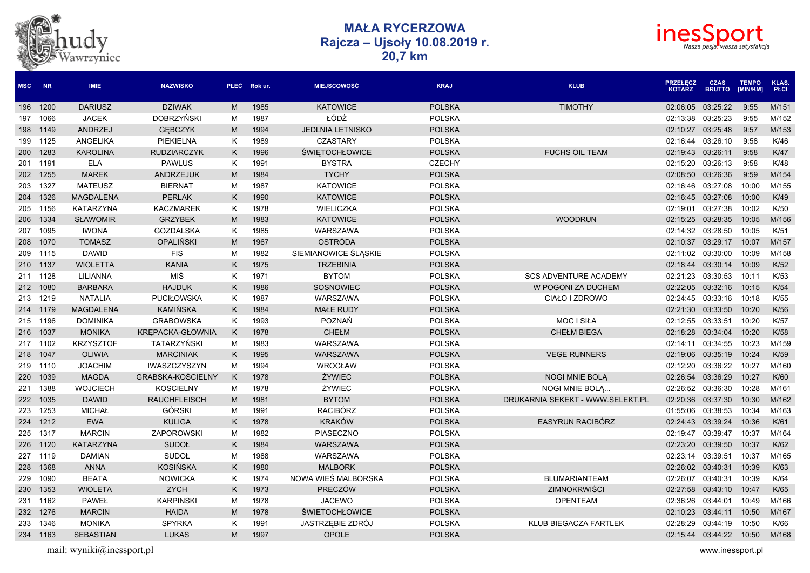



| <b>MSC</b> | <b>NR</b> | <b>IMIE</b>      | <b>NAZWISKO</b>     |    | PŁEĆ Rok ur. | <b>MIEJSCOWOŚĆ</b>      | <b>KRAJ</b>   | <b>KLUB</b>                      | <b>PRZEŁECZ</b><br><b>KOTARZ</b> | <b>CZAS</b><br><b>BRUTTO</b> | <b>TEMPO</b><br>[MIN/KM] | <b>KLAS.</b><br><b>PŁCI</b> |
|------------|-----------|------------------|---------------------|----|--------------|-------------------------|---------------|----------------------------------|----------------------------------|------------------------------|--------------------------|-----------------------------|
| 196        | 1200      | <b>DARIUSZ</b>   | <b>DZIWAK</b>       | M  | 1985         | <b>KATOWICE</b>         | <b>POLSKA</b> | <b>TIMOTHY</b>                   | 02:06:05                         | 03:25:22                     | 9:55                     | M/151                       |
| 197        | 1066      | <b>JACEK</b>     | <b>DOBRZYŃSKI</b>   | M  | 1987         | ŁÓDŹ                    | <b>POLSKA</b> |                                  | 02:13:38                         | 03:25:23                     | 9:55                     | M/152                       |
| 198        | 1149      | ANDRZEJ          | <b>GEBCZYK</b>      | M  | 1994         | <b>JEDLNIA LETNISKO</b> | <b>POLSKA</b> |                                  | 02:10:27                         | 03:25:48                     | 9:57                     | M/153                       |
| 199        | 1125      | ANGELIKA         | PIEKIELNA           | Κ  | 1989         | <b>CZASTARY</b>         | <b>POLSKA</b> |                                  | 02:16:44                         | 03:26:10                     | 9:58                     | K/46                        |
| 200        | 1283      | <b>KAROLINA</b>  | <b>RUDZIARCZYK</b>  | K  | 1996         | <b>ŚWIETOCHŁOWICE</b>   | <b>POLSKA</b> | <b>FUCHS OIL TEAM</b>            | 02:19:43                         | 03:26:11                     | 9:58                     | K/47                        |
| 201        | 1191      | <b>ELA</b>       | <b>PAWLUS</b>       | K  | 1991         | <b>BYSTRA</b>           | <b>CZECHY</b> |                                  | 02:15:20                         | 03:26:13                     | 9:58                     | K/48                        |
| 202        | 1255      | <b>MAREK</b>     | <b>ANDRZEJUK</b>    | M  | 1984         | <b>TYCHY</b>            | <b>POLSKA</b> |                                  | 02:08:50                         | 03:26:36                     | 9:59                     | M/154                       |
| 203        | 1327      | <b>MATEUSZ</b>   | <b>BIERNAT</b>      | М  | 1987         | <b>KATOWICE</b>         | <b>POLSKA</b> |                                  | 02:16:46                         | 03:27:08                     | 10:00                    | M/155                       |
| 204        | 1326      | <b>MAGDALENA</b> | <b>PERLAK</b>       | K. | 1990         | <b>KATOWICE</b>         | <b>POLSKA</b> |                                  | 02:16:45                         | 03:27:08                     | 10:00                    | K/49                        |
| 205        | 1156      | <b>KATARZYNA</b> | <b>KACZMAREK</b>    | Κ  | 1978         | WIELICZKA               | <b>POLSKA</b> |                                  | 02:19:01                         | 03:27:38                     | 10:02                    | K/50                        |
| 206        | 1334      | <b>SLAWOMIR</b>  | <b>GRZYBEK</b>      | M  | 1983         | <b>KATOWICE</b>         | <b>POLSKA</b> | <b>WOODRUN</b>                   | 02:15:25                         | 03:28:35                     | 10:05                    | M/156                       |
| 207        | 1095      | <b>IWONA</b>     | <b>GOZDALSKA</b>    | K  | 1985         | WARSZAWA                | <b>POLSKA</b> |                                  | 02:14:32                         | 03:28:50                     | 10:05                    | K/51                        |
| 208        | 1070      | <b>TOMASZ</b>    | <b>OPALIŃSKI</b>    | M  | 1967         | OSTRÓDA                 | <b>POLSKA</b> |                                  | 02:10:37                         | 03:29:17                     | 10:07                    | M/157                       |
| 209        | 1115      | <b>DAWID</b>     | <b>FIS</b>          | М  | 1982         | SIEMIANOWICE ŚLĄSKIE    | <b>POLSKA</b> |                                  | 02:11:02                         | 03:30:00                     | 10:09                    | M/158                       |
| 210 1137   |           | <b>WIOLETTA</b>  | <b>KANIA</b>        | K. | 1975         | <b>TRZEBINIA</b>        | <b>POLSKA</b> |                                  | 02:18:44                         | 03:30:14                     | 10:09                    | K/52                        |
| 211        | 1128      | <b>LILIANNA</b>  | MIŚ                 | Κ  | 1971         | <b>BYTOM</b>            | <b>POLSKA</b> | <b>SCS ADVENTURE ACADEMY</b>     | 02:21:23                         | 03:30:53                     | 10:11                    | K/53                        |
| 212        | 1080      | <b>BARBARA</b>   | <b>HAJDUK</b>       | K  | 1986         | <b>SOSNOWIEC</b>        | <b>POLSKA</b> | W POGONI ZA DUCHEM               | 02:22:05                         | 03:32:16                     | 10:15                    | K/54                        |
| 213        | 1219      | <b>NATALIA</b>   | <b>PUCIŁOWSKA</b>   | Κ  | 1987         | WARSZAWA                | <b>POLSKA</b> | CIAŁO I ZDROWO                   | 02:24:45                         | 03:33:16                     | 10:18                    | K/55                        |
| 214        | 1179      | <b>MAGDALENA</b> | <b>KAMIŃSKA</b>     | K  | 1984         | <b>MAŁE RUDY</b>        | <b>POLSKA</b> |                                  | 02:21:30                         | 03:33:50                     | 10:20                    | K/56                        |
| 215        | 1196      | <b>DOMINIKA</b>  | <b>GRABOWSKA</b>    | K. | 1993         | POZNAŃ                  | <b>POLSKA</b> | <b>MOC I SIŁA</b>                | 02:12:55                         | 03:33:51                     | 10:20                    | K/57                        |
| 216        | 1037      | <b>MONIKA</b>    | KREPACKA-GŁOWNIA    | K  | 1978         | <b>CHEŁM</b>            | <b>POLSKA</b> | <b>CHEŁM BIEGA</b>               | 02:18:28                         | 03:34:04                     | 10:20                    | K/58                        |
| 217        | 1102      | <b>KRZYSZTOF</b> | TATARZYŃSKI         | M  | 1983         | WARSZAWA                | <b>POLSKA</b> |                                  | 02:14:11                         | 03:34:55                     | 10:23                    | M/159                       |
| 218        | 1047      | <b>OLIWIA</b>    | <b>MARCINIAK</b>    | K  | 1995         | WARSZAWA                | <b>POLSKA</b> | <b>VEGE RUNNERS</b>              | 02:19:06                         | 03:35:19                     | 10:24                    | K/59                        |
| 219        | 1110      | <b>JOACHIM</b>   | IWASZCZYSZYN        | М  | 1994         | WROCŁAW                 | <b>POLSKA</b> |                                  | 02:12:20                         | 03:36:22                     | 10:27                    | M/160                       |
| 220        | 1039      | <b>MAGDA</b>     | GRABSKA-KOŚCIELNY   | K  | 1978         | ŻYWIEC                  | <b>POLSKA</b> | NOGI MNIE BOLĄ                   | 02:26:54                         | 03:36:29                     | 10:27                    | K/60                        |
| 221        | 1388      | <b>WOJCIECH</b>  | <b>KOSCIELNY</b>    | М  | 1978         | ŻYWIEC                  | <b>POLSKA</b> | NOGI MNIE BOLĄ                   | 02:26:52                         | 03:36:30                     | 10:28                    | M/161                       |
| 222        | 1035      | <b>DAWID</b>     | <b>RAUCHFLEISCH</b> | M  | 1981         | <b>BYTOM</b>            | <b>POLSKA</b> | DRUKARNIA SEKEKT - WWW.SELEKT.PL | 02:20:36                         | 03:37:30                     | 10:30                    | M/162                       |
| 223        | 1253      | <b>MICHAŁ</b>    | <b>GÓRSKI</b>       | M  | 1991         | <b>RACIBÓRZ</b>         | <b>POLSKA</b> |                                  | 01:55:06                         | 03:38:53                     | 10:34                    | M/163                       |
| 224        | 1212      | <b>EWA</b>       | <b>KULIGA</b>       | K  | 1978         | <b>KRAKÓW</b>           | <b>POLSKA</b> | EASYRUN RACIBÓRZ                 | 02:24:43                         | 03:39:24                     | 10:36                    | K/61                        |
| 225        | 1317      | <b>MARCIN</b>    | ZAPOROWSKI          | M  | 1982         | PIASECZNO               | <b>POLSKA</b> |                                  | 02:19:47                         | 03:39:47                     | 10:37                    | M/164                       |
| 226        | 1120      | <b>KATARZYNA</b> | <b>SUDOŁ</b>        | K  | 1984         | WARSZAWA                | <b>POLSKA</b> |                                  | 02:23:20                         | 03:39:50                     | 10:37                    | K/62                        |
| 227        | 1119      | <b>DAMIAN</b>    | <b>SUDOŁ</b>        | M  | 1988         | WARSZAWA                | <b>POLSKA</b> |                                  | 02:23:14                         | 03:39:51                     | 10:37                    | M/165                       |
| 228        | 1368      | <b>ANNA</b>      | <b>KOSIŃSKA</b>     | K  | 1980         | <b>MALBORK</b>          | <b>POLSKA</b> |                                  | 02:26:02                         | 03:40:31                     | 10:39                    | K/63                        |
| 229        | 1090      | <b>BEATA</b>     | <b>NOWICKA</b>      | Κ  | 1974         | NOWA WIEŚ MALBORSKA     | <b>POLSKA</b> | <b>BLUMARIANTEAM</b>             | 02:26:07                         | 03:40:31                     | 10:39                    | K/64                        |
| 230        | 1353      | <b>WIOLETA</b>   | <b>ZYCH</b>         | K  | 1973         | PRECZÓW                 | <b>POLSKA</b> | ZIMNOKRWIŚCI                     | 02:27:58                         | 03:43:10                     | 10:47                    | K/65                        |
| 231        | 1162      | <b>PAWEŁ</b>     | <b>KARPINSKI</b>    | M  | 1978         | <b>JACEWO</b>           | <b>POLSKA</b> | <b>OPENTEAM</b>                  | 02:36:26                         | 03:44:01                     | 10:49                    | M/166                       |
| 232        | 1276      | <b>MARCIN</b>    | <b>HAIDA</b>        | M  | 1978         | <b>ŚWIETOCHŁOWICE</b>   | <b>POLSKA</b> |                                  | 02:10:23                         | 03:44:11                     | 10:50                    | M/167                       |
| 233        | 1346      | <b>MONIKA</b>    | <b>SPYRKA</b>       | Κ  | 1991         | JASTRZEBIE ZDRÓJ        | <b>POLSKA</b> | KLUB BIEGACZA FARTLEK            | 02:28:29                         | 03:44:19                     | 10:50                    | K/66                        |
| 234        | 1163      | <b>SEBASTIAN</b> | <b>LUKAS</b>        | M  | 1997         | <b>OPOLE</b>            | <b>POLSKA</b> |                                  | 02:15:44                         | 03:44:22                     | 10:50                    | M/168                       |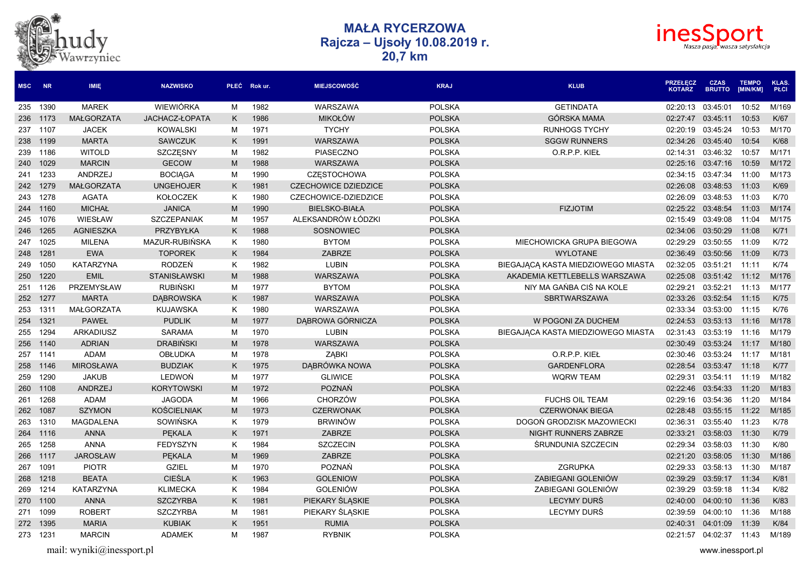



| <b>MSC</b> | <b>NR</b> | <b>IMIE</b>       | <b>NAZWISKO</b>     |   | PŁEĆ Rok ur. | <b>MIEJSCOWOŚĆ</b>          | <b>KRAJ</b>   | <b>KLUB</b>                        | <b>PRZEŁĘCZ</b><br><b>KOTARZ</b> | <b>CZAS</b><br><b>BRUTTO</b> | <b>TEMPO</b><br>[MIN/KM] | <b>KLAS.</b><br><b>PŁCI</b> |
|------------|-----------|-------------------|---------------------|---|--------------|-----------------------------|---------------|------------------------------------|----------------------------------|------------------------------|--------------------------|-----------------------------|
| 235        | 1390      | <b>MAREK</b>      | <b>WIEWIÓRKA</b>    | M | 1982         | WARSZAWA                    | <b>POLSKA</b> | <b>GETINDATA</b>                   | 02:20:13                         | 03:45:01                     | 10:52                    | M/169                       |
| 236        | 1173      | <b>MAŁGORZATA</b> | JACHACZ-ŁOPATA      | K | 1986         | <b>MIKOŁÓW</b>              | <b>POLSKA</b> | <b>GÓRSKA MAMA</b>                 | 02:27:47                         | 03:45:11                     | 10:53                    | K/67                        |
| 237        | 1107      | <b>JACEK</b>      | <b>KOWALSKI</b>     | M | 1971         | <b>TYCHY</b>                | <b>POLSKA</b> | <b>RUNHOGS TYCHY</b>               | 02:20:19                         | 03:45:24                     | 10:53                    | M/170                       |
| 238        | 1199      | <b>MARTA</b>      | <b>SAWCZUK</b>      | K | 1991         | WARSZAWA                    | <b>POLSKA</b> | <b>SGGW RUNNERS</b>                | 02:34:26                         | 03:45:40                     | 10:54                    | K/68                        |
| 239        | 1186      | <b>WITOLD</b>     | SZCZĘSNY            | M | 1982         | PIASECZNO                   | <b>POLSKA</b> | O.R.P.P. KIEŁ                      | 02:14:31                         | 03:46:32                     | 10:57                    | M/171                       |
| 240        | 1029      | <b>MARCIN</b>     | <b>GECOW</b>        | M | 1988         | WARSZAWA                    | <b>POLSKA</b> |                                    |                                  | 02:25:16 03:47:16            | 10:59                    | M/172                       |
| 241        | 1233      | ANDRZEJ           | <b>BOCIAGA</b>      | M | 1990         | <b>CZESTOCHOWA</b>          | <b>POLSKA</b> |                                    |                                  | 02:34:15 03:47:34            | 11:00                    | M/173                       |
| 242        | 1279      | <b>MAŁGORZATA</b> | <b>UNGEHOJER</b>    | K | 1981         | <b>CZECHOWICE DZIEDZICE</b> | <b>POLSKA</b> |                                    | 02:26:08                         | 03:48:53                     | 11:03                    | K/69                        |
| 243        | 1278      | <b>AGATA</b>      | <b>KOŁOCZEK</b>     | Κ | 1980         | CZECHOWICE-DZIEDZICE        | <b>POLSKA</b> |                                    | 02:26:09                         | 03:48:53                     | 11:03                    | K/70                        |
| 244        | 1160      | <b>MICHAŁ</b>     | <b>JANICA</b>       | M | 1990         | <b>BIELSKO-BIAŁA</b>        | <b>POLSKA</b> | <b>FIZJOTIM</b>                    | 02:25:22 03:48:54                |                              | 11:03                    | M/174                       |
| 245        | 1076      | WIESŁAW           | <b>SZCZEPANIAK</b>  | M | 1957         | ALEKSANDRÓW ŁÓDZKI          | <b>POLSKA</b> |                                    | 02:15:49                         | 03:49:08                     | 11:04                    | M/175                       |
| 246        | 1265      | <b>AGNIESZKA</b>  | PRZYBYŁKA           | K | 1988         | SOSNOWIEC                   | <b>POLSKA</b> |                                    | 02:34:06                         | 03:50:29                     | 11:08                    | K/71                        |
| 247        | 1025      | <b>MILENA</b>     | MAZUR-RUBIŃSKA      | K | 1980         | <b>BYTOM</b>                | <b>POLSKA</b> | MIECHOWICKA GRUPA BIEGOWA          | 02:29:29                         | 03:50:55                     | 11:09                    | K/72                        |
| 248        | 1281      | <b>EWA</b>        | <b>TOPOREK</b>      | K | 1984         | <b>ZABRZE</b>               | <b>POLSKA</b> | <b>WYLOTANE</b>                    | 02:36:49                         | 03:50:56                     | 11:09                    | K/73                        |
| 249        | 1050      | <b>KATARZYNA</b>  | RODZEŃ              | Κ | 1982         | <b>LUBIN</b>                | <b>POLSKA</b> | BIEGAJĄCĄ KASTA MIEDZIOWEGO MIASTA | 02:32:05                         | 03:51:21                     | 11:11                    | K/74                        |
| 250        | 1220      | <b>EMIL</b>       | <b>STANISŁAWSKI</b> | M | 1988         | WARSZAWA                    | <b>POLSKA</b> | AKADEMIA KETTLEBELLS WARSZAWA      | 02:25:08                         | 03:51:42                     | 11:12                    | M/176                       |
| 251        | 1126      | PRZEMYSŁAW        | <b>RUBIŃSKI</b>     | M | 1977         | <b>BYTOM</b>                | <b>POLSKA</b> | NIY MA GAŃBA CIŚ NA KOLE           | 02:29:21                         | 03:52:21                     | 11:13                    | M/177                       |
| 252        | 1277      | <b>MARTA</b>      | <b>DABROWSKA</b>    | K | 1987         | <b>WARSZAWA</b>             | <b>POLSKA</b> | SBRTWARSZAWA                       | 02:33:26                         | 03:52:54                     | 11:15                    | K/75                        |
| 253        | 1311      | <b>MAŁGORZATA</b> | <b>KUJAWSKA</b>     | K | 1980         | WARSZAWA                    | <b>POLSKA</b> |                                    | 02:33:34                         | 03:53:00                     | 11:15                    | K/76                        |
| 254        | 1321      | <b>PAWEŁ</b>      | <b>PUDLIK</b>       | M | 1977         | DĄBROWA GÓRNICZA            | <b>POLSKA</b> | W POGONI ZA DUCHEM                 |                                  | 02:24:53 03:53:13            | 11:16                    | M/178                       |
| 255        | 1294      | <b>ARKADIUSZ</b>  | <b>SARAMA</b>       | M | 1970         | <b>LUBIN</b>                | <b>POLSKA</b> | BIEGAJACA KASTA MIEDZIOWEGO MIASTA | 02:31:43                         | 03:53:19                     | 11:16                    | M/179                       |
| 256        | 1140      | <b>ADRIAN</b>     | <b>DRABIŃSKI</b>    | M | 1978         | WARSZAWA                    | <b>POLSKA</b> |                                    | 02:30:49                         | 03:53:24                     | 11:17                    | M/180                       |
| 257        | 1141      | <b>ADAM</b>       | <b>OBŁUDKA</b>      | M | 1978         | <b>ZABKI</b>                | <b>POLSKA</b> | O.R.P.P. KIEŁ                      | 02:30:46                         | 03:53:24                     | 11:17                    | M/181                       |
| 258        | 1146      | <b>MIROSŁAWA</b>  | <b>BUDZIAK</b>      | K | 1975         | DABRÓWKA NOWA               | <b>POLSKA</b> | <b>GARDENFLORA</b>                 | 02:28:54                         | 03:53:47                     | 11:18                    | <b>K/77</b>                 |
| 259        | 1290      | <b>JAKUB</b>      | LEDWOŃ              | M | 1977         | <b>GLIWICE</b>              | <b>POLSKA</b> | <b>WQRW TEAM</b>                   | 02:29:31                         | 03:54:11                     | 11:19                    | M/182                       |
| 260        | 1108      | <b>ANDRZEJ</b>    | <b>KORYTOWSKI</b>   | M | 1972         | <b>POZNAŃ</b>               | <b>POLSKA</b> |                                    | 02:22:46                         | 03:54:33                     | 11:20                    | M/183                       |
| 261        | 1268      | <b>ADAM</b>       | <b>JAGODA</b>       | M | 1966         | <b>CHORZÓW</b>              | <b>POLSKA</b> | <b>FUCHS OIL TEAM</b>              | 02:29:16                         | 03:54:36                     | 11:20                    | M/184                       |
| 262        | 1087      | <b>SZYMON</b>     | <b>KOŚCIELNIAK</b>  | M | 1973         | <b>CZERWONAK</b>            | <b>POLSKA</b> | <b>CZERWONAK BIEGA</b>             | 02:28:48                         | 03:55:15                     | 11:22                    | M/185                       |
| 263        | 1310      | <b>MAGDALENA</b>  | SOWIŃSKA            | K | 1979         | <b>BRWINÓW</b>              | <b>POLSKA</b> | DOGOŃ GRODZISK MAZOWIECKI          | 02:36:31                         | 03:55:40                     | 11:23                    | K/78                        |
| 264        | 1116      | <b>ANNA</b>       | <b>PEKALA</b>       | K | 1971         | <b>ZABRZE</b>               | <b>POLSKA</b> | <b>NIGHT RUNNERS ZABRZE</b>        | 02:33:21                         | 03:58:03                     | 11:30                    | K/79                        |
| 265        | 1258      | <b>ANNA</b>       | <b>FEDYSZYN</b>     | K | 1984         | <b>SZCZECIN</b>             | <b>POLSKA</b> | ŚRUNDUNIA SZCZECIN                 | 02:29:34                         | 03:58:03                     | 11:30                    | K/80                        |
| 266 1117   |           | <b>JAROSŁAW</b>   | <b>PEKALA</b>       | M | 1969         | ZABRZE                      | <b>POLSKA</b> |                                    |                                  | 02:21:20 03:58:05            | 11:30                    | M/186                       |
| 267        | 1091      | <b>PIOTR</b>      | <b>GZIEL</b>        | M | 1970         | POZNAŃ                      | <b>POLSKA</b> | <b>ZGRUPKA</b>                     | 02:29:33                         | 03:58:13                     | 11:30                    | M/187                       |
| 268        | 1218      | <b>BEATA</b>      | <b>CIEŚLA</b>       | K | 1963         | <b>GOLENIOW</b>             | <b>POLSKA</b> | ZABIEGANI GOLENIÓW                 | 02:39:29                         | 03:59:17                     | 11:34                    | K/81                        |
| 269        | 1214      | <b>KATARZYNA</b>  | <b>KLIMECKA</b>     | κ | 1984         | <b>GOLENIÓW</b>             | <b>POLSKA</b> | ZABIEGANI GOLENIÓW                 | 02:39:29                         | 03:59:18                     | 11:34                    | K/82                        |
| 270        | 1100      | <b>ANNA</b>       | <b>SZCZYRBA</b>     | K | 1981         | PIEKARY ŚLĄSKIE             | <b>POLSKA</b> | <b>LECYMY DURS</b>                 | 02:40:00                         | 04:00:10                     | 11:36                    | K/83                        |
| 271        | 1099      | <b>ROBERT</b>     | <b>SZCZYRBA</b>     | M | 1981         | PIEKARY ŚLĄSKIE             | <b>POLSKA</b> | <b>LECYMY DURS</b>                 | 02:39:59                         | 04:00:10                     | 11:36                    | M/188                       |
| 272        | 1395      | <b>MARIA</b>      | <b>KUBIAK</b>       | K | 1951         | <b>RUMIA</b>                | <b>POLSKA</b> |                                    | 02:40:31                         | 04:01:09                     | 11:39                    | K/84                        |
| 273        | 1231      | <b>MARCIN</b>     | <b>ADAMEK</b>       | М | 1987         | <b>RYBNIK</b>               | <b>POLSKA</b> |                                    | 02:21:57                         | 04:02:37                     | 11:43                    | M/189                       |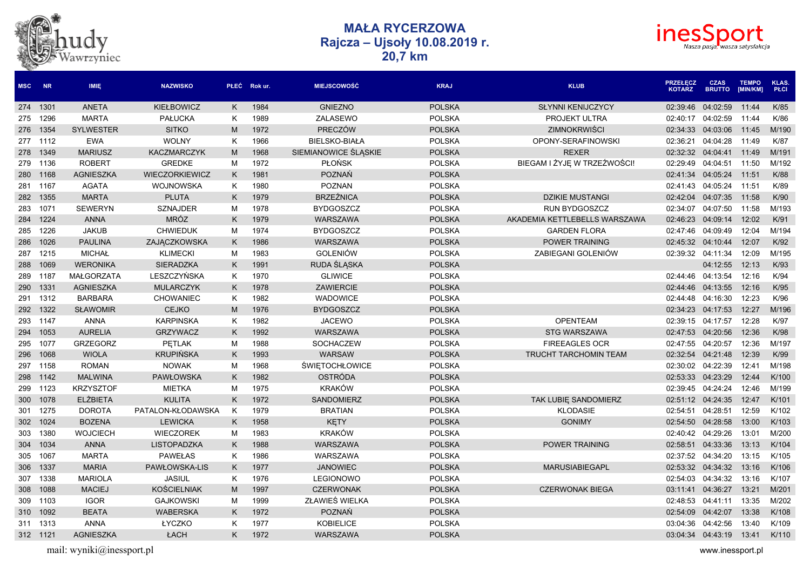



| <b>MSC</b> | <b>NR</b> | <b>IMIE</b>       | <b>NAZWISKO</b>       |    | PŁEĆ Rok ur. | <b>MIEJSCOWOŚĆ</b>    | <b>KRAJ</b>   | <b>KLUB</b>                   | <b>PRZEŁĘCZ</b><br><b>KOTARZ</b> | <b>CZAS</b><br><b>BRUTTO</b> | <b>TEMPO</b><br>[MIN/KM] | <b>KLAS.</b><br><b>PŁCI</b> |
|------------|-----------|-------------------|-----------------------|----|--------------|-----------------------|---------------|-------------------------------|----------------------------------|------------------------------|--------------------------|-----------------------------|
|            | 274 1301  | <b>ANETA</b>      | <b>KIEŁBOWICZ</b>     | Κ  | 1984         | <b>GNIEZNO</b>        | <b>POLSKA</b> | <b>SŁYNNI KENIJCZYCY</b>      | 02:39:46                         | 04:02:59                     | 11:44                    | K/85                        |
| 275        | 1296      | <b>MARTA</b>      | <b>PAŁUCKA</b>        | Κ  | 1989         | ZALASEWO              | <b>POLSKA</b> | PROJEKT ULTRA                 | 02:40:17                         | 04:02:59                     | 11:44                    | K/86                        |
| 276        | 1354      | <b>SYLWESTER</b>  | <b>SITKO</b>          | M  | 1972         | PRECZÓW               | <b>POLSKA</b> | ZIMNOKRWIŚCI                  | 02:34:33                         | 04:03:06                     | 11:45                    | M/190                       |
|            | 277 1112  | <b>EWA</b>        | <b>WOLNY</b>          | Κ  | 1966         | <b>BIELSKO-BIAŁA</b>  | <b>POLSKA</b> | OPONY-SERAFINOWSKI            | 02:36:21                         | 04:04:28                     | 11:49                    | K/87                        |
| 278        | 1349      | <b>MARIUSZ</b>    | <b>KACZMARCZYK</b>    | M  | 1968         | SIEMIANOWICE ŚLĄSKIE  | <b>POLSKA</b> | <b>REXER</b>                  | 02:32:32                         | 04:04:41                     | 11:49                    | M/191                       |
| 279        | 1136      | <b>ROBERT</b>     | <b>GREDKE</b>         | M  | 1972         | <b>PLONSK</b>         | <b>POLSKA</b> | BIEGAM I ŻYJĘ W TRZEŹWOŚCI!   | 02:29:49                         | 04:04:51                     | 11:50                    | M/192                       |
| 280        | 1168      | <b>AGNIESZKA</b>  | <b>WIECZORKIEWICZ</b> | Κ  | 1981         | <b>POZNAŃ</b>         | <b>POLSKA</b> |                               | 02:41:34                         | 04:05:24                     | 11:51                    | K/88                        |
| 281        | 1167      | <b>AGATA</b>      | WOJNOWSKA             | Κ  | 1980         | <b>POZNAN</b>         | <b>POLSKA</b> |                               | 02:41:43                         | 04:05:24                     | 11:51                    | K/89                        |
|            | 282 1355  | <b>MARTA</b>      | <b>PLUTA</b>          | K. | 1979         | <b>BRZEŹNICA</b>      | <b>POLSKA</b> | <b>DZIKIE MUSTANGI</b>        | 02:42:04                         | 04:07:35                     | 11:58                    | K/90                        |
| 283        | 1071      | <b>SEWERYN</b>    | <b>SZNAJDER</b>       | M  | 1978         | <b>BYDGOSZCZ</b>      | <b>POLSKA</b> | RUN BYDGOSZCZ                 | 02:34:07                         | 04:07:50                     | 11:58                    | M/193                       |
| 284        | 1224      | <b>ANNA</b>       | <b>MRÓZ</b>           | K  | 1979         | WARSZAWA              | <b>POLSKA</b> | AKADEMIA KETTLEBELLS WARSZAWA | 02:46:23                         | 04:09:14                     | 12:02                    | K/91                        |
| 285        | 1226      | <b>JAKUB</b>      | <b>CHWIEDUK</b>       | M  | 1974         | <b>BYDGOSZCZ</b>      | <b>POLSKA</b> | <b>GARDEN FLORA</b>           | 02:47:46                         | 04:09:49                     | 12:04                    | M/194                       |
| 286        | 1026      | <b>PAULINA</b>    | ZAJĄCZKOWSKA          | Κ  | 1986         | WARSZAWA              | <b>POLSKA</b> | POWER TRAINING                | 02:45:32                         | 04:10:44                     | 12:07                    | K/92                        |
| 287        | 1215      | <b>MICHAŁ</b>     | <b>KLIMECKI</b>       | M  | 1983         | <b>GOLENIÓW</b>       | <b>POLSKA</b> | ZABIEGANI GOLENIÓW            | 02:39:32                         | 04:11:34                     | 12:09                    | M/195                       |
| 288        | 1069      | <b>WERONIKA</b>   | <b>SIERADZKA</b>      | K. | 1991         | RUDA ŚLĄSKA           | <b>POLSKA</b> |                               |                                  | 04:12:55                     | 12:13                    | K/93                        |
| 289        | 1187      | <b>MAŁGORZATA</b> | LESZCZYŃSKA           | Κ  | 1970         | <b>GLIWICE</b>        | <b>POLSKA</b> |                               | 02:44:46 04:13:54                |                              | 12:16                    | K/94                        |
| 290        | 1331      | <b>AGNIESZKA</b>  | <b>MULARCZYK</b>      | K  | 1978         | <b>ZAWIERCIE</b>      | <b>POLSKA</b> |                               | 02:44:46                         | 04:13:55                     | 12:16                    | K/95                        |
| 291        | 1312      | <b>BARBARA</b>    | <b>CHOWANIEC</b>      | K  | 1982         | <b>WADOWICE</b>       | <b>POLSKA</b> |                               | 02:44:48                         | 04:16:30                     | 12:23                    | K/96                        |
| 292        | 1322      | <b>SŁAWOMIR</b>   | <b>CEJKO</b>          | M  | 1976         | <b>BYDGOSZCZ</b>      | <b>POLSKA</b> |                               | 02:34:23                         | 04:17:53                     | 12:27                    | M/196                       |
| 293        | 1147      | <b>ANNA</b>       | <b>KARPINSKA</b>      | K. | 1982         | <b>JACEWO</b>         | <b>POLSKA</b> | <b>OPENTEAM</b>               | 02:39:15                         | 04:17:57                     | 12:28                    | K/97                        |
| 294        | 1053      | <b>AURELIA</b>    | <b>GRZYWACZ</b>       | K. | 1992         | <b>WARSZAWA</b>       | <b>POLSKA</b> | <b>STG WARSZAWA</b>           |                                  | 02:47:53 04:20:56            | 12:36                    | K/98                        |
| 295        | 1077      | <b>GRZEGORZ</b>   | <b>PETLAK</b>         | M  | 1988         | <b>SOCHACZEW</b>      | <b>POLSKA</b> | <b>FIREEAGLES OCR</b>         | 02:47:55                         | 04:20:57                     | 12:36                    | M/197                       |
| 296        | 1068      | <b>WIOLA</b>      | <b>KRUPIŃSKA</b>      | K  | 1993         | <b>WARSAW</b>         | <b>POLSKA</b> | <b>TRUCHT TARCHOMIN TEAM</b>  | 02:32:54                         | 04:21:48                     | 12:39                    | K/99                        |
| 297        | 1158      | <b>ROMAN</b>      | <b>NOWAK</b>          | M  | 1968         | <b>ŚWIĘTOCHŁOWICE</b> | <b>POLSKA</b> |                               | 02:30:02                         | 04:22:39                     | 12:41                    | M/198                       |
| 298        | 1142      | <b>MALWINA</b>    | <b>PAWŁOWSKA</b>      | K  | 1982         | OSTRÓDA               | <b>POLSKA</b> |                               | 02:53:33                         | 04:23:29                     | 12:44                    | K/100                       |
| 299        | 1123      | <b>KRZYSZTOF</b>  | <b>MIETKA</b>         | M  | 1975         | <b>KRAKÓW</b>         | <b>POLSKA</b> |                               | 02:39:45                         | 04:24:24                     | 12:46                    | M/199                       |
| 300        | 1078      | <b>ELŻBIETA</b>   | <b>KULITA</b>         | K. | 1972         | SANDOMIERZ            | <b>POLSKA</b> | TAK LUBIE SANDOMIERZ          | 02:51:12                         | 04:24:35                     | 12:47                    | K/101                       |
| 301        | 1275      | <b>DOROTA</b>     | PATALON-KŁODAWSKA     | K  | 1979         | <b>BRATIAN</b>        | <b>POLSKA</b> | <b>KLODASIE</b>               | 02:54:51                         | 04:28:51                     | 12:59                    | K/102                       |
| 302        | 1024      | <b>BOZENA</b>     | <b>LEWICKA</b>        | K. | 1958         | <b>KETY</b>           | <b>POLSKA</b> | <b>GONIMY</b>                 | 02:54:50                         | 04:28:58                     | 13:00                    | K/103                       |
| 303        | 1380      | <b>WOJCIECH</b>   | <b>WIECZOREK</b>      | M  | 1983         | <b>KRAKÓW</b>         | <b>POLSKA</b> |                               | 02:40:42                         | 04:29:26                     | 13:01                    | M/200                       |
| 304        | 1034      | <b>ANNA</b>       | LISTOPADZKA           | K  | 1988         | <b>WARSZAWA</b>       | <b>POLSKA</b> | POWER TRAINING                | 02:58:51                         | 04:33:36                     | 13:13                    | K/104                       |
| 305        | 1067      | <b>MARTA</b>      | <b>PAWEŁAS</b>        | K. | 1986         | WARSZAWA              | <b>POLSKA</b> |                               | 02:37:52 04:34:20                |                              | 13:15                    | K/105                       |
| 306        | 1337      | <b>MARIA</b>      | PAWŁOWSKA-LIS         | K  | 1977         | <b>JANOWIEC</b>       | <b>POLSKA</b> | <b>MARUSIABIEGAPL</b>         | 02:53:32                         | 04:34:32                     | 13:16                    | K/106                       |
| 307        | 1338      | <b>MARIOLA</b>    | <b>JASIUL</b>         | K  | 1976         | <b>LEGIONOWO</b>      | <b>POLSKA</b> |                               | 02:54:03                         | 04:34:32                     | 13:16                    | K/107                       |
| 308        | 1088      | <b>MACIEJ</b>     | <b>KOŚCIELNIAK</b>    | M  | 1997         | <b>CZERWONAK</b>      | <b>POLSKA</b> | <b>CZERWONAK BIEGA</b>        | 03:11:41                         | 04:36:27                     | 13:21                    | M/201                       |
| 309        | 1103      | <b>IGOR</b>       | <b>GAJKOWSKI</b>      | M  | 1999         | ZŁAWIEŚ WIELKA        | <b>POLSKA</b> |                               | 02:48:53                         | 04:41:11                     | 13:35                    | M/202                       |
| 310        | 1092      | <b>BEATA</b>      | <b>WABERSKA</b>       | K  | 1972         | POZNAŃ                | <b>POLSKA</b> |                               | 02:54:09                         | 04:42:07                     | 13:38                    | K/108                       |
| 311        | 1313      | <b>ANNA</b>       | ŁYCZKO                | Κ  | 1977         | <b>KOBIELICE</b>      | <b>POLSKA</b> |                               | 03:04:36                         | 04:42:56                     | 13:40                    | K/109                       |
|            | 312 1121  | <b>AGNIESZKA</b>  | ŁACH                  | K  | 1972         | WARSZAWA              | <b>POLSKA</b> |                               | 03:04:34                         | 04:43:19                     | 13:41                    | K/110                       |

mail: wyniki@inessport.pl www.inessport.pl